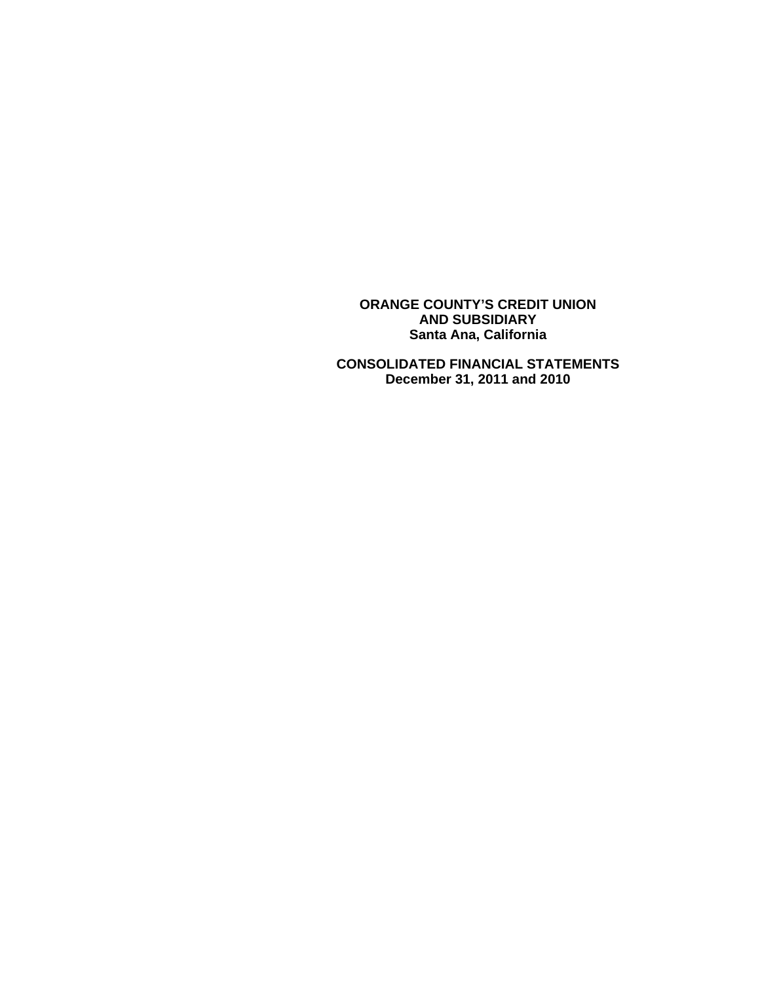**ORANGE COUNTY'S CREDIT UNION AND SUBSIDIARY Santa Ana, California** 

 **CONSOLIDATED FINANCIAL STATEMENTS December 31, 2011 and 2010**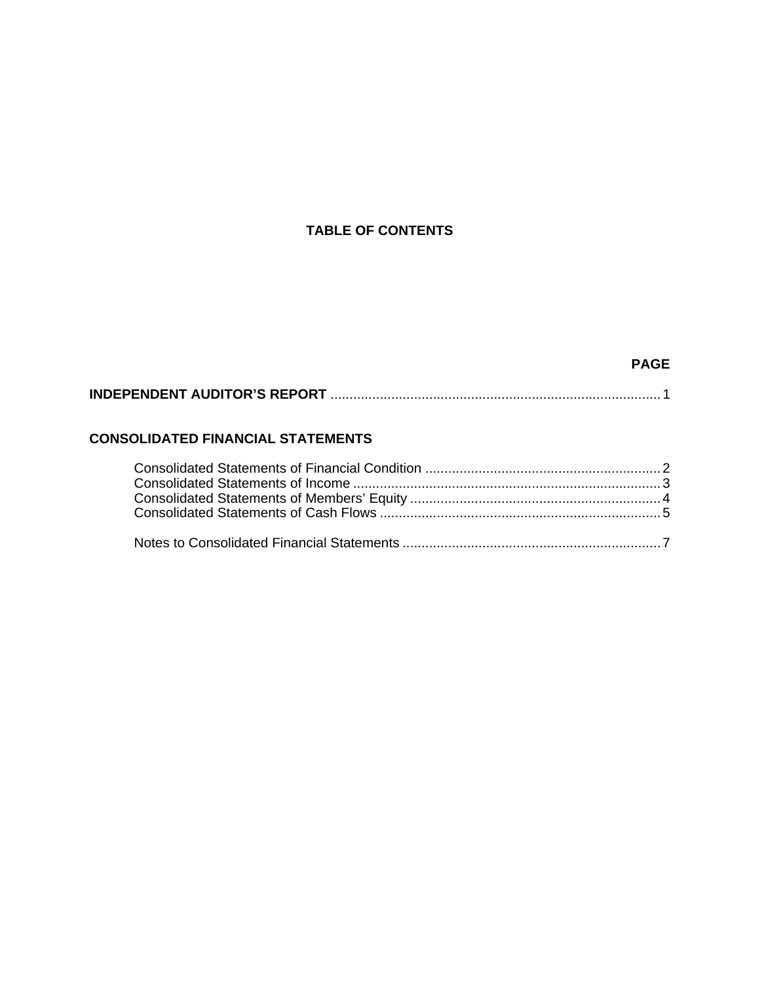# **TABLE OF CONTENTS**

# **PAGE**

# **INDEPENDENT AUDITOR'S REPORT** ....................................................................................... 1

# **CONSOLIDATED FINANCIAL STATEMENTS**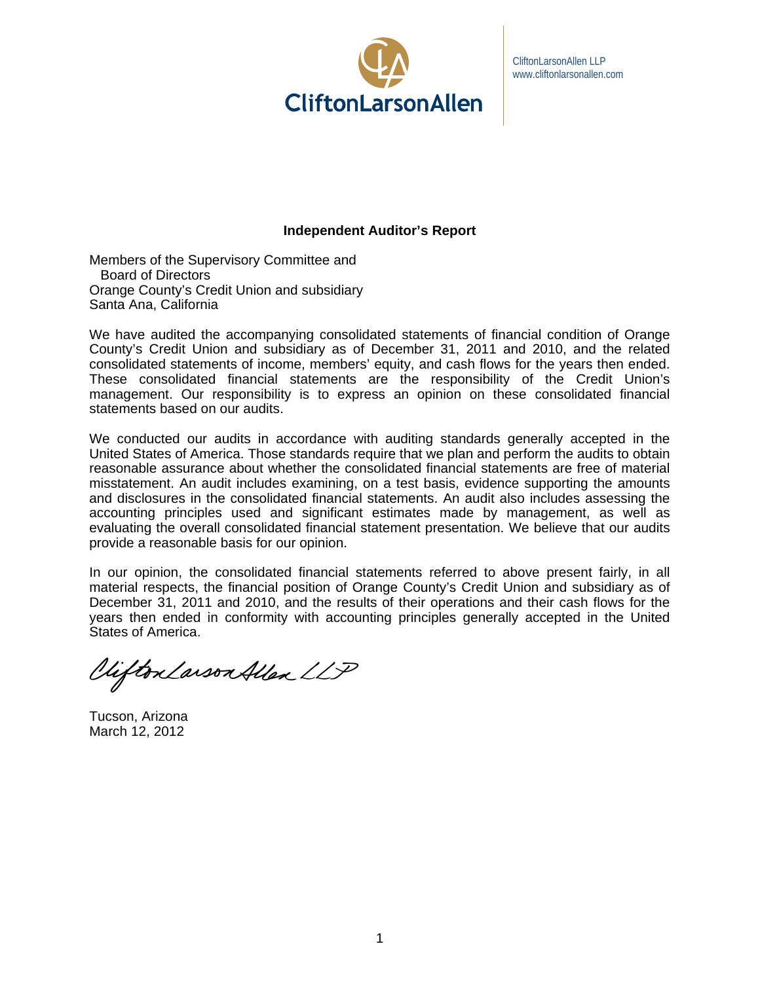

CliftonLarsonAllen LLP www.cliftonlarsonallen.com

# **Independent Auditor's Report**

Members of the Supervisory Committee and Board of Directors Orange County's Credit Union and subsidiary Santa Ana, California

We have audited the accompanying consolidated statements of financial condition of Orange County's Credit Union and subsidiary as of December 31, 2011 and 2010, and the related consolidated statements of income, members' equity, and cash flows for the years then ended. These consolidated financial statements are the responsibility of the Credit Union's management. Our responsibility is to express an opinion on these consolidated financial statements based on our audits.

We conducted our audits in accordance with auditing standards generally accepted in the United States of America. Those standards require that we plan and perform the audits to obtain reasonable assurance about whether the consolidated financial statements are free of material misstatement. An audit includes examining, on a test basis, evidence supporting the amounts and disclosures in the consolidated financial statements. An audit also includes assessing the accounting principles used and significant estimates made by management, as well as evaluating the overall consolidated financial statement presentation. We believe that our audits provide a reasonable basis for our opinion.

In our opinion, the consolidated financial statements referred to above present fairly, in all material respects, the financial position of Orange County's Credit Union and subsidiary as of December 31, 2011 and 2010, and the results of their operations and their cash flows for the years then ended in conformity with accounting principles generally accepted in the United States of America.

Viifton Larson Allen LLP

Tucson, Arizona March 12, 2012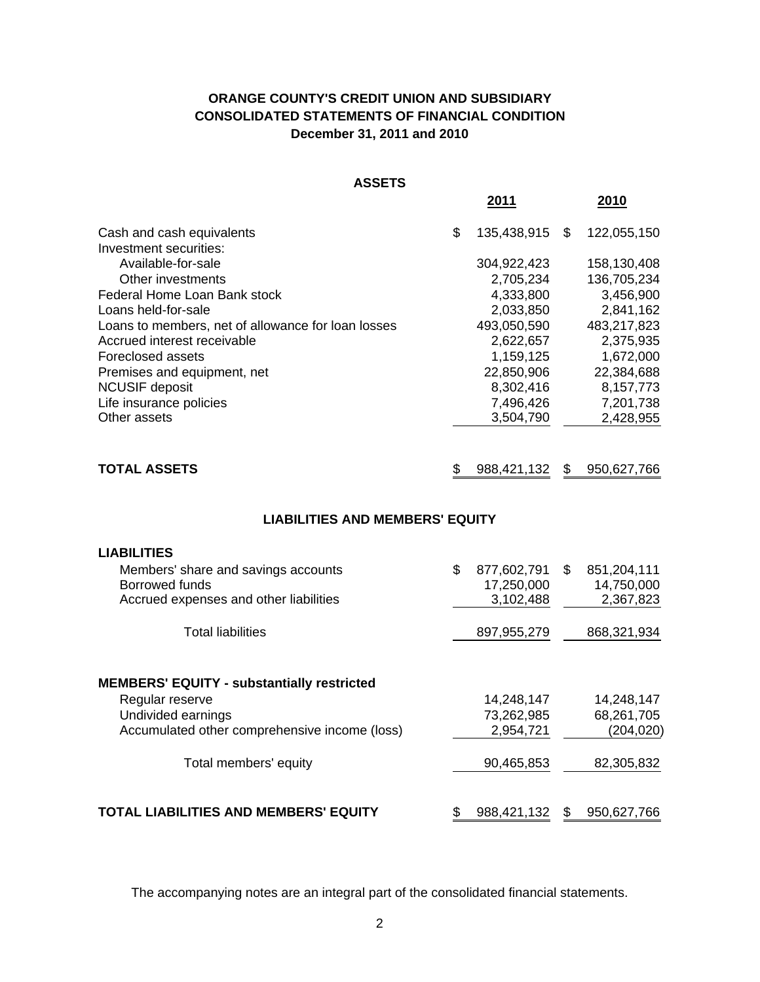# **ORANGE COUNTY'S CREDIT UNION AND SUBSIDIARY CONSOLIDATED STATEMENTS OF FINANCIAL CONDITION December 31, 2011 and 2010**

|                                                    | 2011              |     | 2010        |
|----------------------------------------------------|-------------------|-----|-------------|
| Cash and cash equivalents                          | \$<br>135,438,915 | \$. | 122,055,150 |
| Investment securities:                             |                   |     |             |
| Available-for-sale                                 | 304,922,423       |     | 158,130,408 |
| Other investments                                  | 2,705,234         |     | 136,705,234 |
| Federal Home Loan Bank stock                       | 4,333,800         |     | 3,456,900   |
| Loans held-for-sale                                | 2,033,850         |     | 2,841,162   |
| Loans to members, net of allowance for loan losses | 493,050,590       |     | 483,217,823 |
| Accrued interest receivable                        | 2,622,657         |     | 2,375,935   |
| Foreclosed assets                                  | 1,159,125         |     | 1,672,000   |
| Premises and equipment, net                        | 22,850,906        |     | 22,384,688  |
| <b>NCUSIF deposit</b>                              | 8,302,416         |     | 8,157,773   |
| Life insurance policies                            | 7,496,426         |     | 7,201,738   |
| Other assets                                       | 3,504,790         |     | 2,428,955   |
|                                                    |                   |     |             |

| <b>TOTAL ASSETS</b> | \$ 988,421,132 \$ 950,627,766 |  |
|---------------------|-------------------------------|--|
|                     |                               |  |

# **LIABILITIES AND MEMBERS' EQUITY**

| <b>LIABILITIES</b>                                |                   |    |             |
|---------------------------------------------------|-------------------|----|-------------|
| Members' share and savings accounts               | \$<br>877,602,791 | \$ | 851,204,111 |
| Borrowed funds                                    | 17,250,000        |    | 14,750,000  |
| Accrued expenses and other liabilities            | 3,102,488         |    | 2,367,823   |
| <b>Total liabilities</b>                          | 897, 955, 279     |    | 868,321,934 |
| <b>MEMBERS' EQUITY - substantially restricted</b> |                   |    |             |
| Regular reserve                                   | 14,248,147        |    | 14,248,147  |
| Undivided earnings                                | 73,262,985        |    | 68,261,705  |
| Accumulated other comprehensive income (loss)     | 2,954,721         |    | (204,020)   |
| Total members' equity                             | 90,465,853        |    | 82,305,832  |
| TOTAL LIABILITIES AND MEMBERS' EQUITY             | \$<br>988,421,132 | S  | 950,627,766 |

The accompanying notes are an integral part of the consolidated financial statements.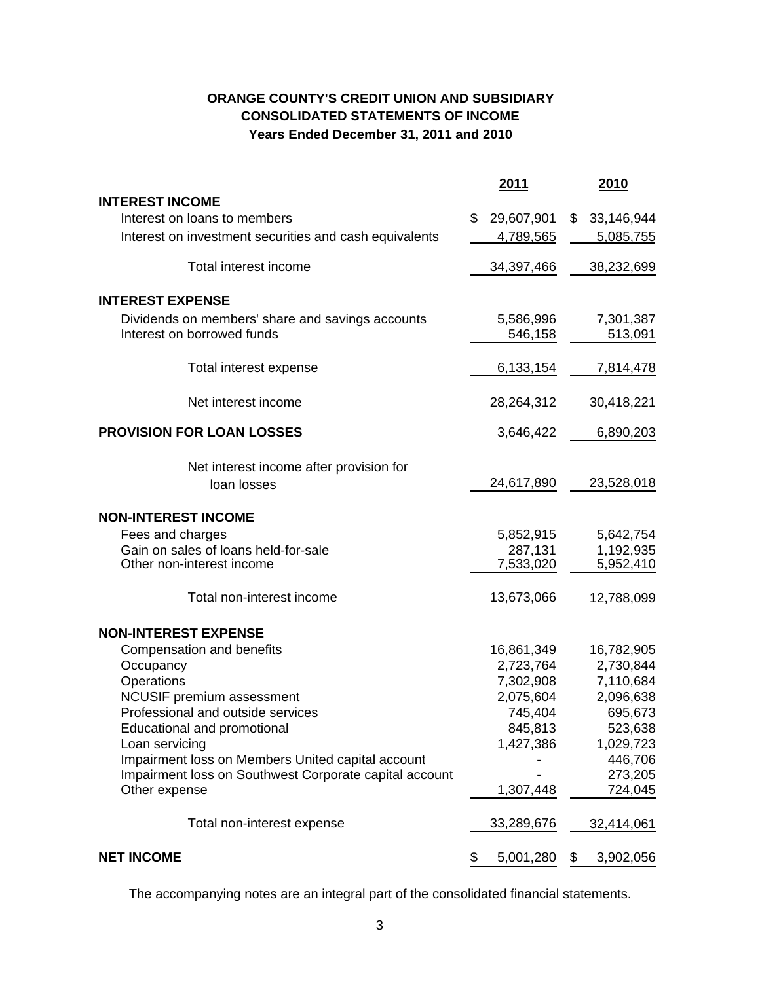# **ORANGE COUNTY'S CREDIT UNION AND SUBSIDIARY CONSOLIDATED STATEMENTS OF INCOME Years Ended December 31, 2011 and 2010**

|                                                        | 2011             | 2010             |
|--------------------------------------------------------|------------------|------------------|
| <b>INTEREST INCOME</b>                                 |                  |                  |
| Interest on loans to members                           | \$<br>29,607,901 | \$<br>33,146,944 |
| Interest on investment securities and cash equivalents | 4,789,565        | 5,085,755        |
| Total interest income                                  | 34,397,466       | 38,232,699       |
| <b>INTEREST EXPENSE</b>                                |                  |                  |
| Dividends on members' share and savings accounts       | 5,586,996        | 7,301,387        |
| Interest on borrowed funds                             | 546,158          | 513,091          |
| Total interest expense                                 | 6,133,154        | 7,814,478        |
| Net interest income                                    | 28,264,312       | 30,418,221       |
| <b>PROVISION FOR LOAN LOSSES</b>                       | 3,646,422        | 6,890,203        |
| Net interest income after provision for                |                  |                  |
| loan losses                                            | 24,617,890       | 23,528,018       |
| <b>NON-INTEREST INCOME</b>                             |                  |                  |
| Fees and charges                                       | 5,852,915        | 5,642,754        |
| Gain on sales of loans held-for-sale                   | 287,131          | 1,192,935        |
| Other non-interest income                              | 7,533,020        | 5,952,410        |
| Total non-interest income                              | 13,673,066       | 12,788,099       |
| <b>NON-INTEREST EXPENSE</b>                            |                  |                  |
| Compensation and benefits                              | 16,861,349       | 16,782,905       |
| Occupancy                                              | 2,723,764        | 2,730,844        |
| Operations                                             | 7,302,908        | 7,110,684        |
| <b>NCUSIF</b> premium assessment                       | 2,075,604        | 2,096,638        |
| Professional and outside services                      | 745,404          | 695,673          |
| Educational and promotional                            | 845,813          | 523,638          |
| Loan servicing                                         | 1,427,386        | 1,029,723        |
| Impairment loss on Members United capital account      |                  | 446,706          |
| Impairment loss on Southwest Corporate capital account |                  | 273,205          |
| Other expense                                          | 1,307,448        | 724,045          |
| Total non-interest expense                             | 33,289,676       | 32,414,061       |
| <b>NET INCOME</b>                                      | \$<br>5,001,280  | \$<br>3,902,056  |

The accompanying notes are an integral part of the consolidated financial statements.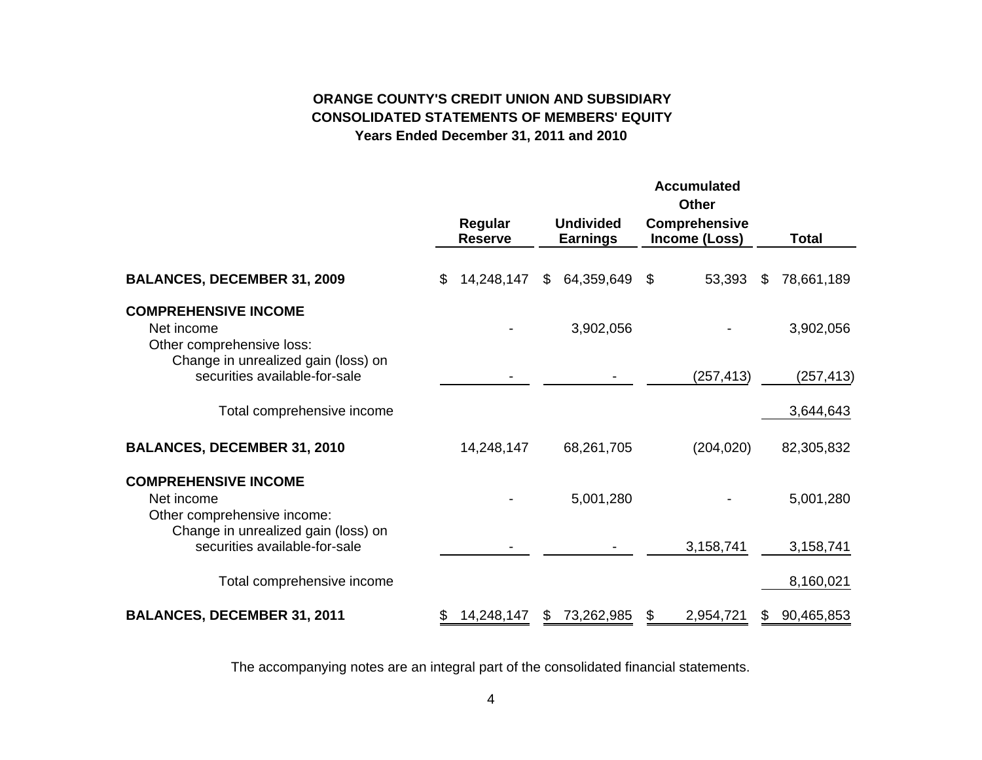# **ORANGE COUNTY'S CREDIT UNION AND SUBSIDIARYCONSOLIDATED STATEMENTS OF MEMBERS' EQUITYYears Ended December 31, 2011 and 2010**

|                                                                          |     |                           |                                     | <b>Accumulated</b><br><b>Other</b>    |    |            |
|--------------------------------------------------------------------------|-----|---------------------------|-------------------------------------|---------------------------------------|----|------------|
|                                                                          |     | Regular<br><b>Reserve</b> | <b>Undivided</b><br><b>Earnings</b> | <b>Comprehensive</b><br>Income (Loss) |    | Total      |
| <b>BALANCES, DECEMBER 31, 2009</b>                                       | \$. | 14,248,147                | \$<br>64,359,649                    | \$<br>53,393                          | S  | 78,661,189 |
| <b>COMPREHENSIVE INCOME</b><br>Net income<br>Other comprehensive loss:   |     |                           | 3,902,056                           |                                       |    | 3,902,056  |
| Change in unrealized gain (loss) on<br>securities available-for-sale     |     |                           |                                     | (257, 413)                            |    | (257, 413) |
| Total comprehensive income                                               |     |                           |                                     |                                       |    | 3,644,643  |
| <b>BALANCES, DECEMBER 31, 2010</b>                                       |     | 14,248,147                | 68,261,705                          | (204, 020)                            |    | 82,305,832 |
| <b>COMPREHENSIVE INCOME</b><br>Net income<br>Other comprehensive income: |     |                           | 5,001,280                           |                                       |    | 5,001,280  |
| Change in unrealized gain (loss) on<br>securities available-for-sale     |     |                           |                                     | 3,158,741                             |    | 3,158,741  |
| Total comprehensive income                                               |     |                           |                                     |                                       |    | 8,160,021  |
| <b>BALANCES, DECEMBER 31, 2011</b>                                       | \$  | 14,248,147                | \$<br>73,262,985                    | \$<br>2,954,721                       | \$ | 90,465,853 |

The accompanying notes are an integral part of the consolidated financial statements.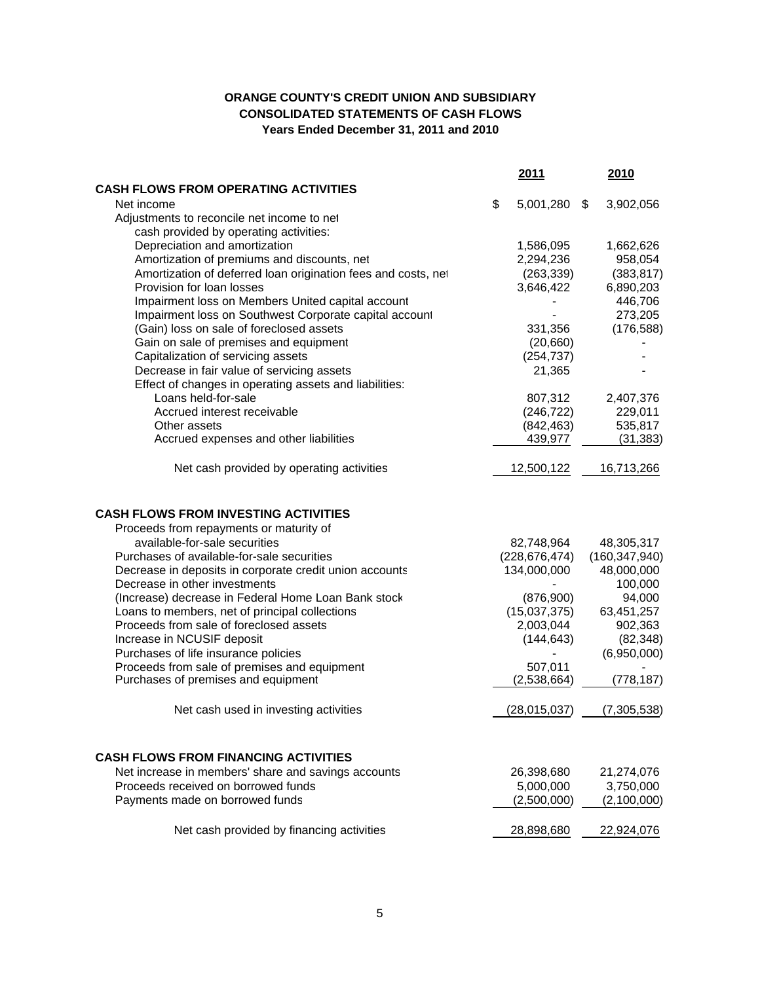# **ORANGE COUNTY'S CREDIT UNION AND SUBSIDIARY CONSOLIDATED STATEMENTS OF CASH FLOWS Years Ended December 31, 2011 and 2010**

|                                                                                        | 2011               | 2010            |
|----------------------------------------------------------------------------------------|--------------------|-----------------|
| <b>CASH FLOWS FROM OPERATING ACTIVITIES</b>                                            |                    |                 |
| Net income                                                                             | \$<br>5,001,280 \$ | 3,902,056       |
| Adjustments to reconcile net income to net                                             |                    |                 |
| cash provided by operating activities:                                                 |                    |                 |
| Depreciation and amortization                                                          | 1,586,095          | 1,662,626       |
| Amortization of premiums and discounts, net                                            | 2,294,236          | 958,054         |
| Amortization of deferred loan origination fees and costs, net                          | (263, 339)         | (383, 817)      |
| Provision for loan losses                                                              | 3,646,422          | 6,890,203       |
| Impairment loss on Members United capital account                                      |                    | 446,706         |
| Impairment loss on Southwest Corporate capital account                                 |                    | 273,205         |
| (Gain) loss on sale of foreclosed assets                                               | 331,356            | (176, 588)      |
| Gain on sale of premises and equipment                                                 | (20,660)           |                 |
| Capitalization of servicing assets                                                     | (254, 737)         |                 |
| Decrease in fair value of servicing assets                                             | 21,365             |                 |
| Effect of changes in operating assets and liabilities:                                 |                    |                 |
| Loans held-for-sale                                                                    | 807,312            | 2,407,376       |
| Accrued interest receivable                                                            | (246, 722)         | 229,011         |
| Other assets                                                                           | (842, 463)         | 535,817         |
| Accrued expenses and other liabilities                                                 | 439,977            | (31, 383)       |
| Net cash provided by operating activities                                              | 12,500,122         | 16,713,266      |
| <b>CASH FLOWS FROM INVESTING ACTIVITIES</b><br>Proceeds from repayments or maturity of |                    |                 |
| available-for-sale securities                                                          | 82,748,964         | 48,305,317      |
| Purchases of available-for-sale securities                                             | (228, 676, 474)    | (160, 347, 940) |
| Decrease in deposits in corporate credit union accounts                                | 134,000,000        | 48,000,000      |
| Decrease in other investments                                                          |                    | 100,000         |
| (Increase) decrease in Federal Home Loan Bank stock                                    | (876,900)          | 94,000          |
| Loans to members, net of principal collections                                         | (15,037,375)       | 63,451,257      |
| Proceeds from sale of foreclosed assets                                                | 2,003,044          | 902,363         |
| Increase in NCUSIF deposit                                                             | (144, 643)         | (82, 348)       |
| Purchases of life insurance policies                                                   |                    | (6,950,000)     |
| Proceeds from sale of premises and equipment                                           | 507,011            |                 |
| Purchases of premises and equipment                                                    | (2,538,664)        | (778, 187)      |
| Net cash used in investing activities                                                  | (28, 015, 037)     | (7,305,538)     |
| <b>CASH FLOWS FROM FINANCING ACTIVITIES</b>                                            |                    |                 |
| Net increase in members' share and savings accounts                                    | 26,398,680         | 21,274,076      |
| Proceeds received on borrowed funds                                                    | 5,000,000          | 3,750,000       |
| Payments made on borrowed funds                                                        | (2,500,000)        | (2,100,000)     |
| Net cash provided by financing activities                                              | 28,898,680         | 22,924,076      |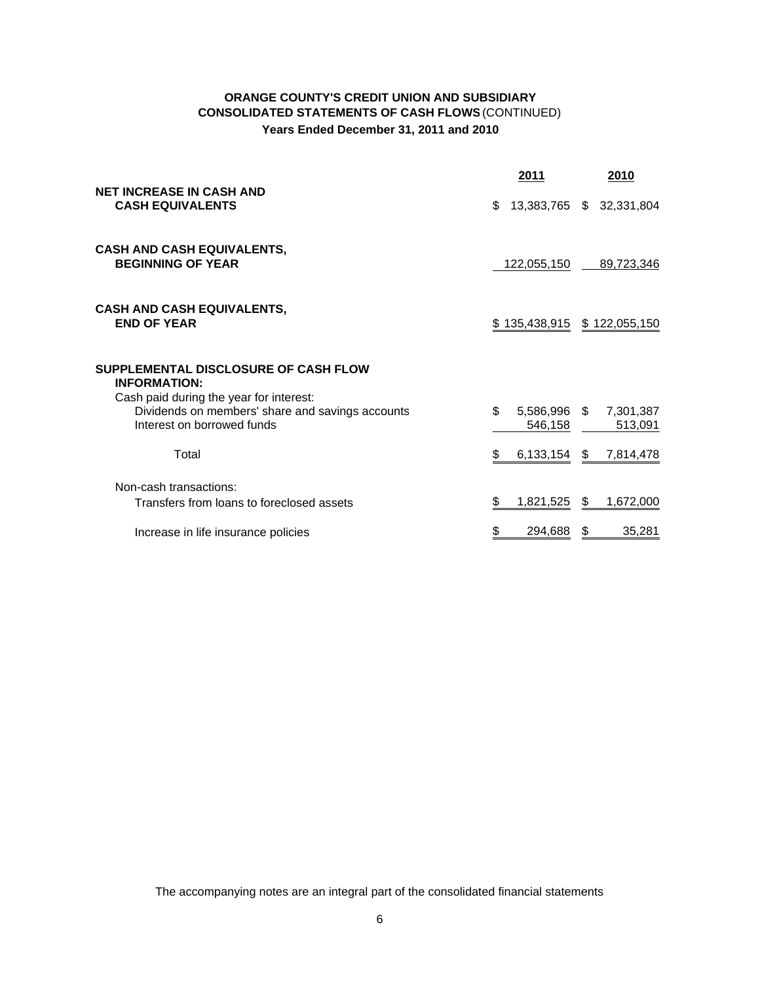# **ORANGE COUNTY'S CREDIT UNION AND SUBSIDIARY CONSOLIDATED STATEMENTS OF CASH FLOWS**(CONTINUED) **Years Ended December 31, 2011 and 2010**

|                                                                                                                           | 2011                           | <u>2010</u>                 |
|---------------------------------------------------------------------------------------------------------------------------|--------------------------------|-----------------------------|
| <b>NET INCREASE IN CASH AND</b><br><b>CASH EQUIVALENTS</b>                                                                | \$                             | 13,383,765 \$ 32,331,804    |
| <b>CASH AND CASH EQUIVALENTS,</b><br><b>BEGINNING OF YEAR</b>                                                             | 122,055,150                    | 89,723,346                  |
| <b>CASH AND CASH EQUIVALENTS,</b><br><b>END OF YEAR</b>                                                                   |                                | \$135,438,915 \$122,055,150 |
| SUPPLEMENTAL DISCLOSURE OF CASH FLOW<br><b>INFORMATION:</b>                                                               |                                |                             |
| Cash paid during the year for interest:<br>Dividends on members' share and savings accounts<br>Interest on borrowed funds | \$.<br>5,586,996 \$<br>546,158 | 7,301,387<br>513,091        |
| Total                                                                                                                     | 6,133,154<br>S                 | 7,814,478<br>S.             |
| Non-cash transactions:<br>Transfers from loans to foreclosed assets                                                       | 1,821,525<br>S                 | 1,672,000<br>S.             |
| Increase in life insurance policies                                                                                       | 294,688                        | 35,281<br>S                 |

The accompanying notes are an integral part of the consolidated financial statements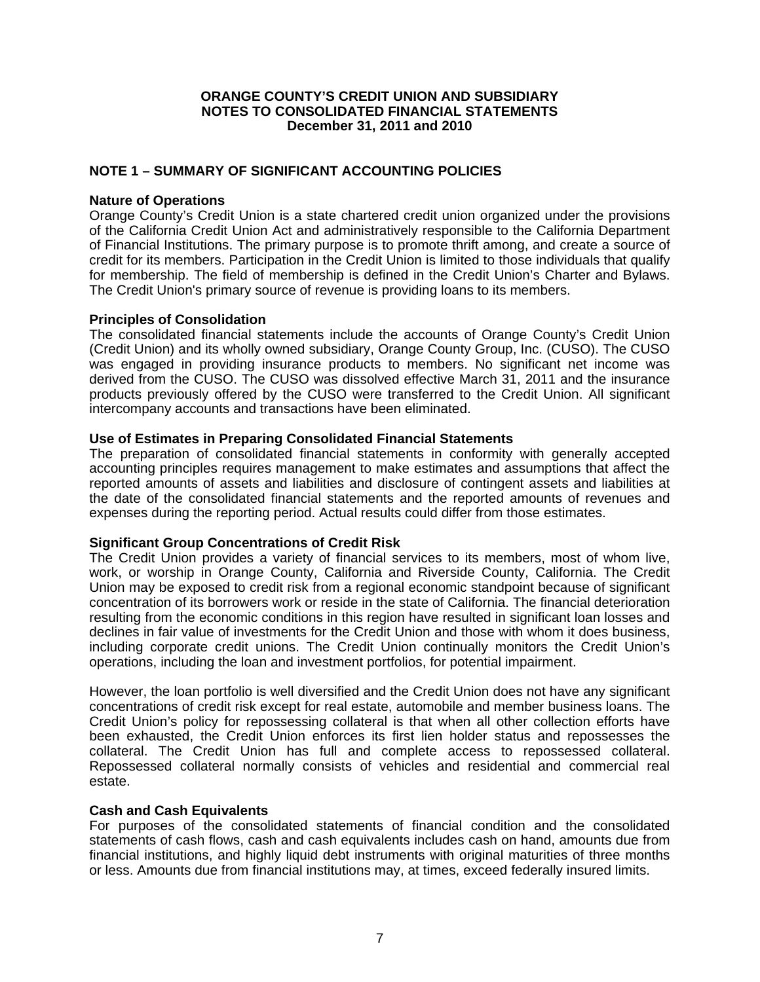# **NOTE 1 – SUMMARY OF SIGNIFICANT ACCOUNTING POLICIES**

## **Nature of Operations**

Orange County's Credit Union is a state chartered credit union organized under the provisions of the California Credit Union Act and administratively responsible to the California Department of Financial Institutions. The primary purpose is to promote thrift among, and create a source of credit for its members. Participation in the Credit Union is limited to those individuals that qualify for membership. The field of membership is defined in the Credit Union's Charter and Bylaws. The Credit Union's primary source of revenue is providing loans to its members.

## **Principles of Consolidation**

The consolidated financial statements include the accounts of Orange County's Credit Union (Credit Union) and its wholly owned subsidiary, Orange County Group, Inc. (CUSO). The CUSO was engaged in providing insurance products to members. No significant net income was derived from the CUSO. The CUSO was dissolved effective March 31, 2011 and the insurance products previously offered by the CUSO were transferred to the Credit Union. All significant intercompany accounts and transactions have been eliminated.

## **Use of Estimates in Preparing Consolidated Financial Statements**

The preparation of consolidated financial statements in conformity with generally accepted accounting principles requires management to make estimates and assumptions that affect the reported amounts of assets and liabilities and disclosure of contingent assets and liabilities at the date of the consolidated financial statements and the reported amounts of revenues and expenses during the reporting period. Actual results could differ from those estimates.

## **Significant Group Concentrations of Credit Risk**

The Credit Union provides a variety of financial services to its members, most of whom live, work, or worship in Orange County, California and Riverside County, California. The Credit Union may be exposed to credit risk from a regional economic standpoint because of significant concentration of its borrowers work or reside in the state of California. The financial deterioration resulting from the economic conditions in this region have resulted in significant loan losses and declines in fair value of investments for the Credit Union and those with whom it does business, including corporate credit unions. The Credit Union continually monitors the Credit Union's operations, including the loan and investment portfolios, for potential impairment.

However, the loan portfolio is well diversified and the Credit Union does not have any significant concentrations of credit risk except for real estate, automobile and member business loans. The Credit Union's policy for repossessing collateral is that when all other collection efforts have been exhausted, the Credit Union enforces its first lien holder status and repossesses the collateral. The Credit Union has full and complete access to repossessed collateral. Repossessed collateral normally consists of vehicles and residential and commercial real estate.

## **Cash and Cash Equivalents**

For purposes of the consolidated statements of financial condition and the consolidated statements of cash flows, cash and cash equivalents includes cash on hand, amounts due from financial institutions, and highly liquid debt instruments with original maturities of three months or less. Amounts due from financial institutions may, at times, exceed federally insured limits.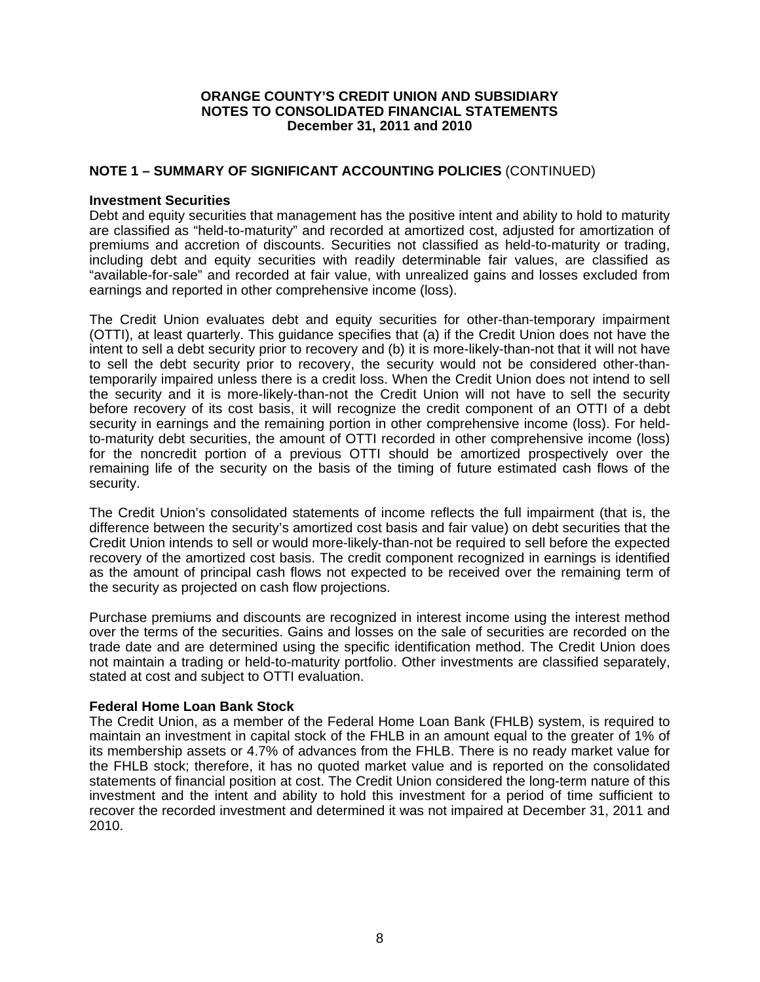# **NOTE 1 – SUMMARY OF SIGNIFICANT ACCOUNTING POLICIES** (CONTINUED)

## **Investment Securities**

Debt and equity securities that management has the positive intent and ability to hold to maturity are classified as "held-to-maturity" and recorded at amortized cost, adjusted for amortization of premiums and accretion of discounts. Securities not classified as held-to-maturity or trading, including debt and equity securities with readily determinable fair values, are classified as "available-for-sale" and recorded at fair value, with unrealized gains and losses excluded from earnings and reported in other comprehensive income (loss).

The Credit Union evaluates debt and equity securities for other-than-temporary impairment (OTTI), at least quarterly. This guidance specifies that (a) if the Credit Union does not have the intent to sell a debt security prior to recovery and (b) it is more-likely-than-not that it will not have to sell the debt security prior to recovery, the security would not be considered other-thantemporarily impaired unless there is a credit loss. When the Credit Union does not intend to sell the security and it is more-likely-than-not the Credit Union will not have to sell the security before recovery of its cost basis, it will recognize the credit component of an OTTI of a debt security in earnings and the remaining portion in other comprehensive income (loss). For heldto-maturity debt securities, the amount of OTTI recorded in other comprehensive income (loss) for the noncredit portion of a previous OTTI should be amortized prospectively over the remaining life of the security on the basis of the timing of future estimated cash flows of the security.

The Credit Union's consolidated statements of income reflects the full impairment (that is, the difference between the security's amortized cost basis and fair value) on debt securities that the Credit Union intends to sell or would more-likely-than-not be required to sell before the expected recovery of the amortized cost basis. The credit component recognized in earnings is identified as the amount of principal cash flows not expected to be received over the remaining term of the security as projected on cash flow projections.

Purchase premiums and discounts are recognized in interest income using the interest method over the terms of the securities. Gains and losses on the sale of securities are recorded on the trade date and are determined using the specific identification method. The Credit Union does not maintain a trading or held-to-maturity portfolio. Other investments are classified separately, stated at cost and subject to OTTI evaluation.

## **Federal Home Loan Bank Stock**

The Credit Union, as a member of the Federal Home Loan Bank (FHLB) system, is required to maintain an investment in capital stock of the FHLB in an amount equal to the greater of 1% of its membership assets or 4.7% of advances from the FHLB. There is no ready market value for the FHLB stock; therefore, it has no quoted market value and is reported on the consolidated statements of financial position at cost. The Credit Union considered the long-term nature of this investment and the intent and ability to hold this investment for a period of time sufficient to recover the recorded investment and determined it was not impaired at December 31, 2011 and 2010.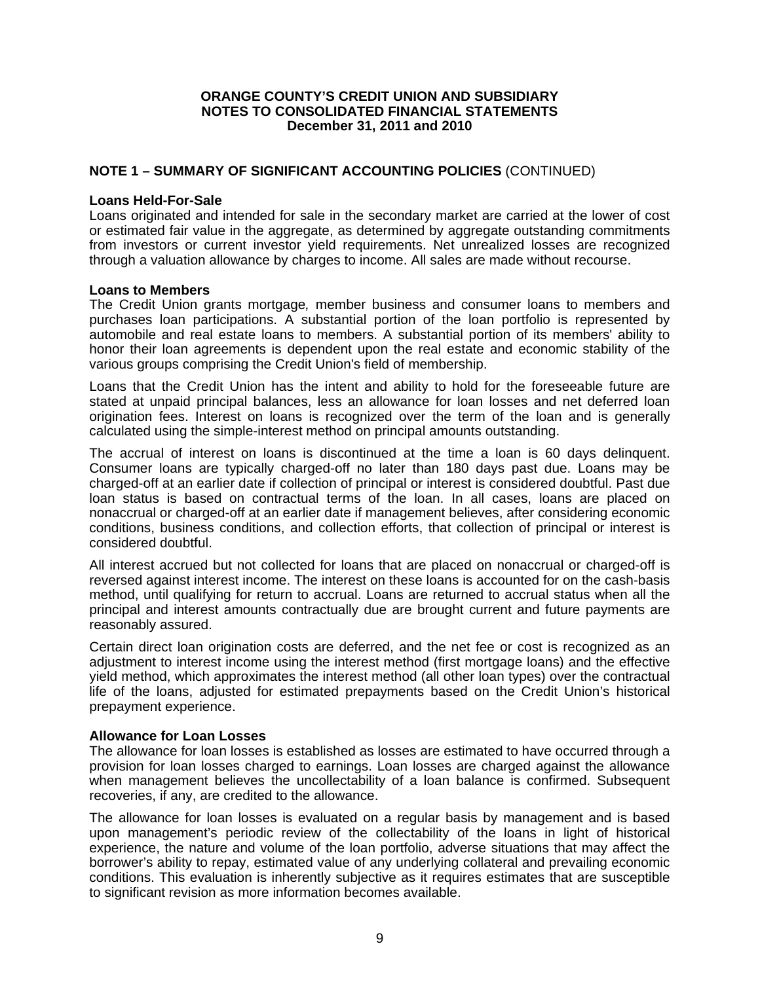# **NOTE 1 – SUMMARY OF SIGNIFICANT ACCOUNTING POLICIES** (CONTINUED)

## **Loans Held-For-Sale**

Loans originated and intended for sale in the secondary market are carried at the lower of cost or estimated fair value in the aggregate, as determined by aggregate outstanding commitments from investors or current investor yield requirements. Net unrealized losses are recognized through a valuation allowance by charges to income. All sales are made without recourse.

## **Loans to Members**

The Credit Union grants mortgage*,* member business and consumer loans to members and purchases loan participations. A substantial portion of the loan portfolio is represented by automobile and real estate loans to members. A substantial portion of its members' ability to honor their loan agreements is dependent upon the real estate and economic stability of the various groups comprising the Credit Union's field of membership.

Loans that the Credit Union has the intent and ability to hold for the foreseeable future are stated at unpaid principal balances, less an allowance for loan losses and net deferred loan origination fees. Interest on loans is recognized over the term of the loan and is generally calculated using the simple-interest method on principal amounts outstanding.

The accrual of interest on loans is discontinued at the time a loan is 60 days delinquent. Consumer loans are typically charged-off no later than 180 days past due. Loans may be charged-off at an earlier date if collection of principal or interest is considered doubtful. Past due loan status is based on contractual terms of the loan. In all cases, loans are placed on nonaccrual or charged-off at an earlier date if management believes, after considering economic conditions, business conditions, and collection efforts, that collection of principal or interest is considered doubtful.

All interest accrued but not collected for loans that are placed on nonaccrual or charged-off is reversed against interest income. The interest on these loans is accounted for on the cash-basis method, until qualifying for return to accrual. Loans are returned to accrual status when all the principal and interest amounts contractually due are brought current and future payments are reasonably assured.

Certain direct loan origination costs are deferred, and the net fee or cost is recognized as an adjustment to interest income using the interest method (first mortgage loans) and the effective yield method, which approximates the interest method (all other loan types) over the contractual life of the loans, adjusted for estimated prepayments based on the Credit Union's historical prepayment experience.

## **Allowance for Loan Losses**

The allowance for loan losses is established as losses are estimated to have occurred through a provision for loan losses charged to earnings. Loan losses are charged against the allowance when management believes the uncollectability of a loan balance is confirmed. Subsequent recoveries, if any, are credited to the allowance.

The allowance for loan losses is evaluated on a regular basis by management and is based upon management's periodic review of the collectability of the loans in light of historical experience, the nature and volume of the loan portfolio, adverse situations that may affect the borrower's ability to repay, estimated value of any underlying collateral and prevailing economic conditions. This evaluation is inherently subjective as it requires estimates that are susceptible to significant revision as more information becomes available.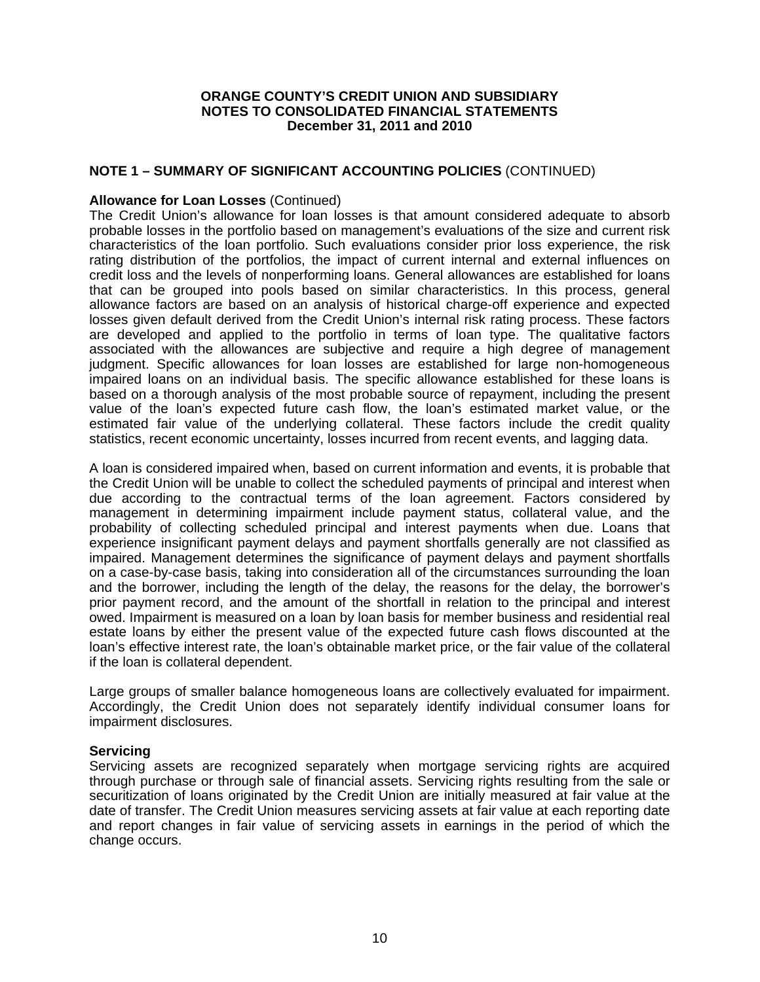# **NOTE 1 – SUMMARY OF SIGNIFICANT ACCOUNTING POLICIES** (CONTINUED)

## **Allowance for Loan Losses** (Continued)

The Credit Union's allowance for loan losses is that amount considered adequate to absorb probable losses in the portfolio based on management's evaluations of the size and current risk characteristics of the loan portfolio. Such evaluations consider prior loss experience, the risk rating distribution of the portfolios, the impact of current internal and external influences on credit loss and the levels of nonperforming loans. General allowances are established for loans that can be grouped into pools based on similar characteristics. In this process, general allowance factors are based on an analysis of historical charge-off experience and expected losses given default derived from the Credit Union's internal risk rating process. These factors are developed and applied to the portfolio in terms of loan type. The qualitative factors associated with the allowances are subjective and require a high degree of management judgment. Specific allowances for loan losses are established for large non-homogeneous impaired loans on an individual basis. The specific allowance established for these loans is based on a thorough analysis of the most probable source of repayment, including the present value of the loan's expected future cash flow, the loan's estimated market value, or the estimated fair value of the underlying collateral. These factors include the credit quality statistics, recent economic uncertainty, losses incurred from recent events, and lagging data.

A loan is considered impaired when, based on current information and events, it is probable that the Credit Union will be unable to collect the scheduled payments of principal and interest when due according to the contractual terms of the loan agreement. Factors considered by management in determining impairment include payment status, collateral value, and the probability of collecting scheduled principal and interest payments when due. Loans that experience insignificant payment delays and payment shortfalls generally are not classified as impaired. Management determines the significance of payment delays and payment shortfalls on a case-by-case basis, taking into consideration all of the circumstances surrounding the loan and the borrower, including the length of the delay, the reasons for the delay, the borrower's prior payment record, and the amount of the shortfall in relation to the principal and interest owed. Impairment is measured on a loan by loan basis for member business and residential real estate loans by either the present value of the expected future cash flows discounted at the loan's effective interest rate, the loan's obtainable market price, or the fair value of the collateral if the loan is collateral dependent.

Large groups of smaller balance homogeneous loans are collectively evaluated for impairment. Accordingly, the Credit Union does not separately identify individual consumer loans for impairment disclosures.

## **Servicing**

Servicing assets are recognized separately when mortgage servicing rights are acquired through purchase or through sale of financial assets. Servicing rights resulting from the sale or securitization of loans originated by the Credit Union are initially measured at fair value at the date of transfer. The Credit Union measures servicing assets at fair value at each reporting date and report changes in fair value of servicing assets in earnings in the period of which the change occurs.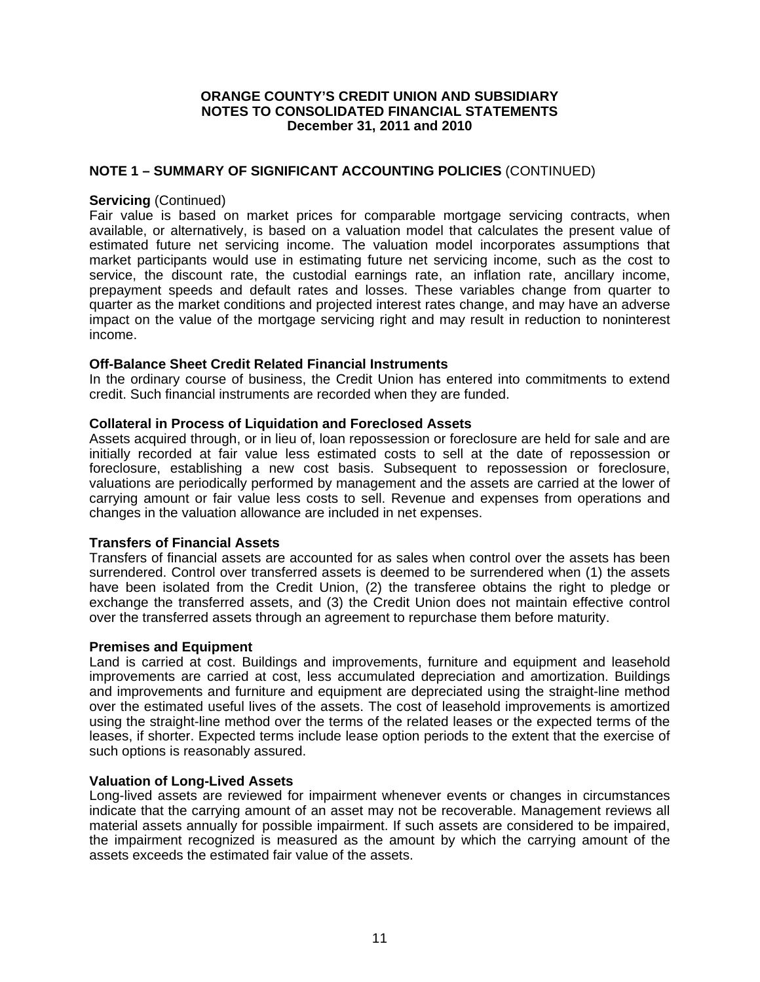## **NOTE 1 – SUMMARY OF SIGNIFICANT ACCOUNTING POLICIES** (CONTINUED)

## **Servicing** (Continued)

Fair value is based on market prices for comparable mortgage servicing contracts, when available, or alternatively, is based on a valuation model that calculates the present value of estimated future net servicing income. The valuation model incorporates assumptions that market participants would use in estimating future net servicing income, such as the cost to service, the discount rate, the custodial earnings rate, an inflation rate, ancillary income, prepayment speeds and default rates and losses. These variables change from quarter to quarter as the market conditions and projected interest rates change, and may have an adverse impact on the value of the mortgage servicing right and may result in reduction to noninterest income.

## **Off-Balance Sheet Credit Related Financial Instruments**

In the ordinary course of business, the Credit Union has entered into commitments to extend credit. Such financial instruments are recorded when they are funded.

## **Collateral in Process of Liquidation and Foreclosed Assets**

Assets acquired through, or in lieu of, loan repossession or foreclosure are held for sale and are initially recorded at fair value less estimated costs to sell at the date of repossession or foreclosure, establishing a new cost basis. Subsequent to repossession or foreclosure, valuations are periodically performed by management and the assets are carried at the lower of carrying amount or fair value less costs to sell. Revenue and expenses from operations and changes in the valuation allowance are included in net expenses.

## **Transfers of Financial Assets**

Transfers of financial assets are accounted for as sales when control over the assets has been surrendered. Control over transferred assets is deemed to be surrendered when (1) the assets have been isolated from the Credit Union, (2) the transferee obtains the right to pledge or exchange the transferred assets, and (3) the Credit Union does not maintain effective control over the transferred assets through an agreement to repurchase them before maturity.

#### **Premises and Equipment**

Land is carried at cost. Buildings and improvements, furniture and equipment and leasehold improvements are carried at cost, less accumulated depreciation and amortization. Buildings and improvements and furniture and equipment are depreciated using the straight-line method over the estimated useful lives of the assets. The cost of leasehold improvements is amortized using the straight-line method over the terms of the related leases or the expected terms of the leases, if shorter. Expected terms include lease option periods to the extent that the exercise of such options is reasonably assured.

#### **Valuation of Long-Lived Assets**

Long-lived assets are reviewed for impairment whenever events or changes in circumstances indicate that the carrying amount of an asset may not be recoverable. Management reviews all material assets annually for possible impairment. If such assets are considered to be impaired, the impairment recognized is measured as the amount by which the carrying amount of the assets exceeds the estimated fair value of the assets.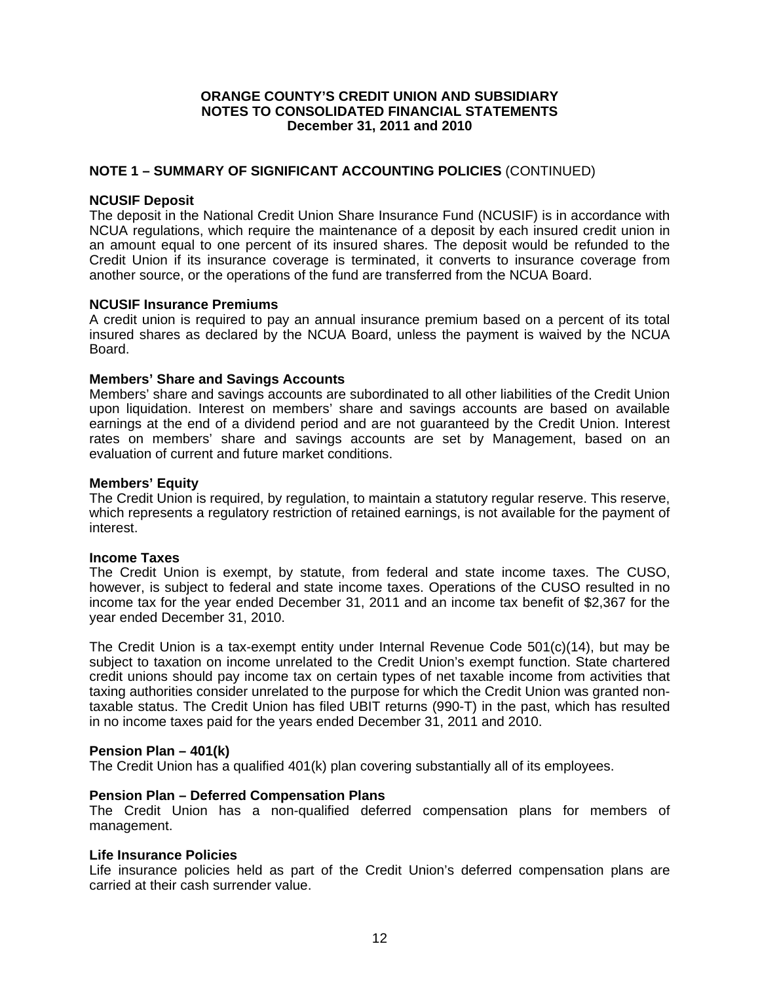## **NOTE 1 – SUMMARY OF SIGNIFICANT ACCOUNTING POLICIES** (CONTINUED)

## **NCUSIF Deposit**

The deposit in the National Credit Union Share Insurance Fund (NCUSIF) is in accordance with NCUA regulations, which require the maintenance of a deposit by each insured credit union in an amount equal to one percent of its insured shares. The deposit would be refunded to the Credit Union if its insurance coverage is terminated, it converts to insurance coverage from another source, or the operations of the fund are transferred from the NCUA Board.

## **NCUSIF Insurance Premiums**

A credit union is required to pay an annual insurance premium based on a percent of its total insured shares as declared by the NCUA Board, unless the payment is waived by the NCUA Board.

## **Members' Share and Savings Accounts**

Members' share and savings accounts are subordinated to all other liabilities of the Credit Union upon liquidation. Interest on members' share and savings accounts are based on available earnings at the end of a dividend period and are not guaranteed by the Credit Union. Interest rates on members' share and savings accounts are set by Management, based on an evaluation of current and future market conditions.

## **Members' Equity**

The Credit Union is required, by regulation, to maintain a statutory regular reserve. This reserve, which represents a regulatory restriction of retained earnings, is not available for the payment of interest.

## **Income Taxes**

The Credit Union is exempt, by statute, from federal and state income taxes. The CUSO, however, is subject to federal and state income taxes. Operations of the CUSO resulted in no income tax for the year ended December 31, 2011 and an income tax benefit of \$2,367 for the year ended December 31, 2010.

The Credit Union is a tax-exempt entity under Internal Revenue Code 501(c)(14), but may be subject to taxation on income unrelated to the Credit Union's exempt function. State chartered credit unions should pay income tax on certain types of net taxable income from activities that taxing authorities consider unrelated to the purpose for which the Credit Union was granted nontaxable status. The Credit Union has filed UBIT returns (990-T) in the past, which has resulted in no income taxes paid for the years ended December 31, 2011 and 2010.

## **Pension Plan – 401(k)**

The Credit Union has a qualified 401(k) plan covering substantially all of its employees.

## **Pension Plan – Deferred Compensation Plans**

The Credit Union has a non-qualified deferred compensation plans for members of management.

## **Life Insurance Policies**

Life insurance policies held as part of the Credit Union's deferred compensation plans are carried at their cash surrender value.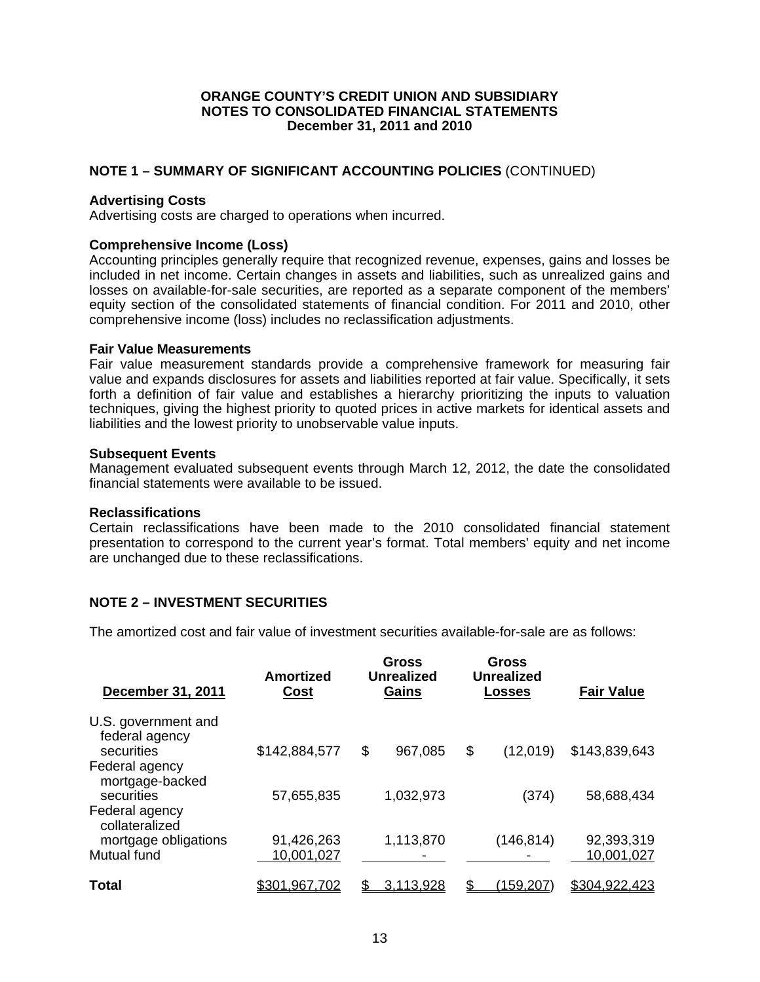# **NOTE 1 – SUMMARY OF SIGNIFICANT ACCOUNTING POLICIES** (CONTINUED)

## **Advertising Costs**

Advertising costs are charged to operations when incurred.

# **Comprehensive Income (Loss)**

Accounting principles generally require that recognized revenue, expenses, gains and losses be included in net income. Certain changes in assets and liabilities, such as unrealized gains and losses on available-for-sale securities, are reported as a separate component of the members' equity section of the consolidated statements of financial condition. For 2011 and 2010, other comprehensive income (loss) includes no reclassification adjustments.

## **Fair Value Measurements**

Fair value measurement standards provide a comprehensive framework for measuring fair value and expands disclosures for assets and liabilities reported at fair value. Specifically, it sets forth a definition of fair value and establishes a hierarchy prioritizing the inputs to valuation techniques, giving the highest priority to quoted prices in active markets for identical assets and liabilities and the lowest priority to unobservable value inputs.

## **Subsequent Events**

Management evaluated subsequent events through March 12, 2012, the date the consolidated financial statements were available to be issued.

## **Reclassifications**

Certain reclassifications have been made to the 2010 consolidated financial statement presentation to correspond to the current year's format. Total members' equity and net income are unchanged due to these reclassifications.

# **NOTE 2 – INVESTMENT SECURITIES**

The amortized cost and fair value of investment securities available-for-sale are as follows:

| December 31, 2011                                        | <b>Amortized</b><br>Cost | <b>Gross</b><br><b>Unrealized</b><br>Gains | Gross<br><b>Unrealized</b><br><b>Losses</b> | <b>Fair Value</b> |
|----------------------------------------------------------|--------------------------|--------------------------------------------|---------------------------------------------|-------------------|
| U.S. government and<br>federal agency<br>securities      | \$142,884,577            | \$<br>967,085                              | \$<br>(12,019)                              | \$143,839,643     |
| Federal agency<br>mortgage-backed<br>securities          | 57,655,835               | 1,032,973                                  | (374)                                       | 58,688,434        |
| Federal agency<br>collateralized<br>mortgage obligations | 91,426,263               | 1,113,870                                  | (146, 814)                                  | 92,393,319        |
| Mutual fund                                              | 10,001,027               |                                            |                                             | 10,001,027        |
| Total                                                    | \$301,967,702            | \$<br>3,113,928                            | \$<br>159,207                               | \$304,922,423     |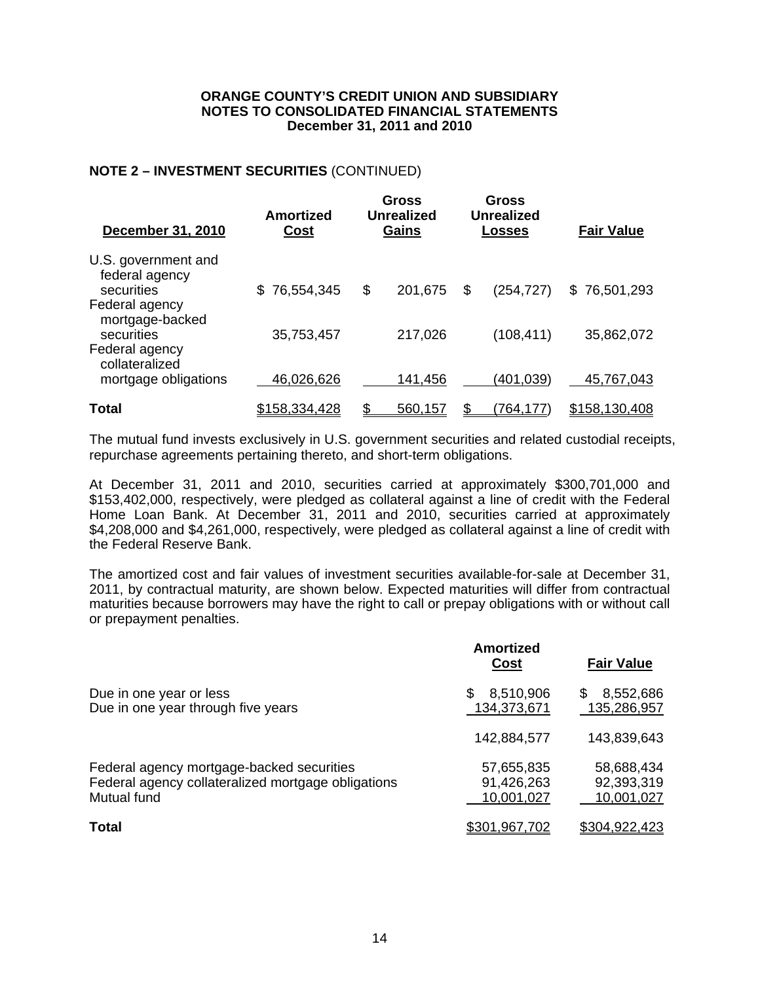# **NOTE 2 – INVESTMENT SECURITIES** (CONTINUED)

| <b>December 31, 2010</b>                                 | <b>Amortized</b><br><u>Cost</u> | <b>Gross</b><br><b>Unrealized</b><br>Gains | Gross<br><b>Unrealized</b><br>Losses | <b>Fair Value</b> |
|----------------------------------------------------------|---------------------------------|--------------------------------------------|--------------------------------------|-------------------|
| U.S. government and<br>federal agency<br>securities      | 76,554,345                      | \$<br>201,675                              | \$<br>(254, 727)                     | \$76,501,293      |
| Federal agency<br>mortgage-backed<br>securities          | 35,753,457                      | 217,026                                    | (108, 411)                           | 35,862,072        |
| Federal agency<br>collateralized<br>mortgage obligations | 46,026,626                      | 141,456                                    | (401,039)                            | 45,767,043        |
| Total                                                    | \$158,334,428                   | 560,157                                    | (764,177                             | \$158,130,408     |

The mutual fund invests exclusively in U.S. government securities and related custodial receipts, repurchase agreements pertaining thereto, and short-term obligations.

At December 31, 2011 and 2010, securities carried at approximately \$300,701,000 and \$153,402,000, respectively, were pledged as collateral against a line of credit with the Federal Home Loan Bank. At December 31, 2011 and 2010, securities carried at approximately \$4,208,000 and \$4,261,000, respectively, were pledged as collateral against a line of credit with the Federal Reserve Bank.

The amortized cost and fair values of investment securities available-for-sale at December 31, 2011, by contractual maturity, are shown below. Expected maturities will differ from contractual maturities because borrowers may have the right to call or prepay obligations with or without call or prepayment penalties.

|                                                                                                                | <b>Amortized</b><br><b>Cost</b>        | <b>Fair Value</b>                      |
|----------------------------------------------------------------------------------------------------------------|----------------------------------------|----------------------------------------|
| Due in one year or less<br>Due in one year through five years                                                  | 8,510,906<br>\$<br>134,373,671         | 8,552,686<br>S<br>135,286,957          |
|                                                                                                                | 142,884,577                            | 143,839,643                            |
| Federal agency mortgage-backed securities<br>Federal agency collateralized mortgage obligations<br>Mutual fund | 57,655,835<br>91,426,263<br>10,001,027 | 58,688,434<br>92,393,319<br>10,001,027 |
| <b>Total</b>                                                                                                   | \$301,967,702                          | <u>\$304,922,423</u>                   |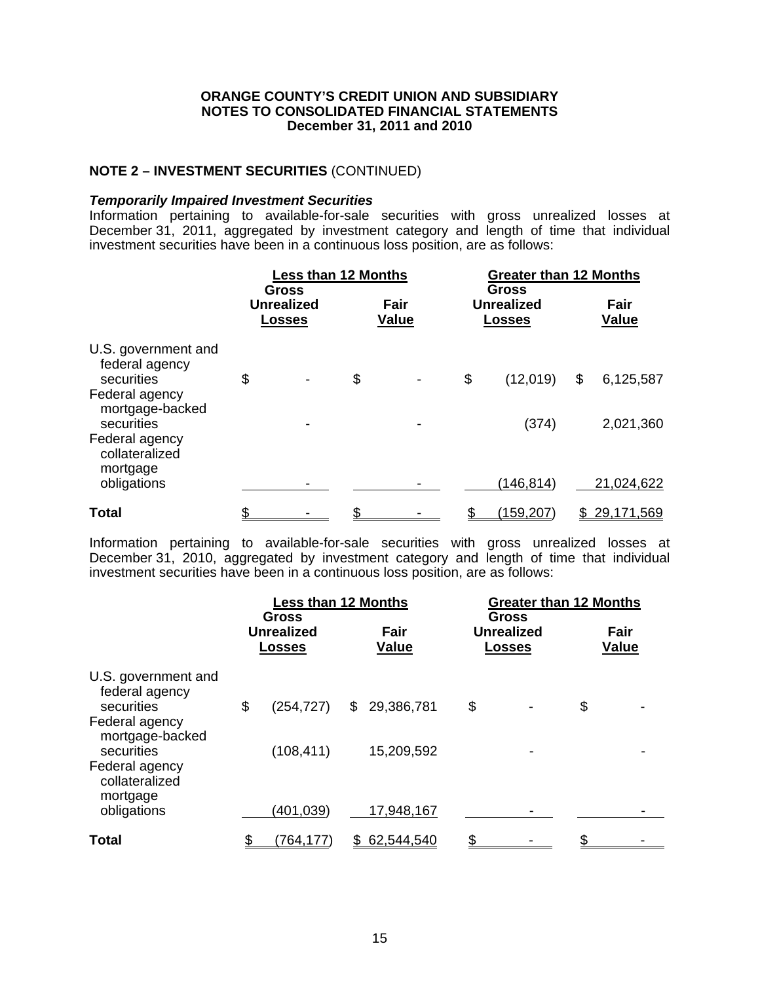# **NOTE 2 – INVESTMENT SECURITIES** (CONTINUED)

#### *Temporarily Impaired Investment Securities*

Information pertaining to available-for-sale securities with gross unrealized losses at December 31, 2011, aggregated by investment category and length of time that individual investment securities have been in a continuous loss position, are as follows:

|                                                                                                                                            | <b>Less than 12 Months</b> |                                                    |                           |                      | <b>Greater than 12 Months</b> |                                                    |                              |  |
|--------------------------------------------------------------------------------------------------------------------------------------------|----------------------------|----------------------------------------------------|---------------------------|----------------------|-------------------------------|----------------------------------------------------|------------------------------|--|
|                                                                                                                                            |                            | <b>Gross</b><br><b>Unrealized</b><br><u>Losses</u> |                           | Fair<br><b>Value</b> |                               | <b>Gross</b><br><b>Unrealized</b><br><b>Losses</b> | Fair<br><b>Value</b>         |  |
| U.S. government and<br>federal agency<br>securities<br>Federal agency<br>mortgage-backed<br>securities<br>Federal agency<br>collateralized | \$                         | -                                                  | $\boldsymbol{\mathsf{S}}$ |                      | \$                            | (12,019)<br>(374)                                  | \$<br>6,125,587<br>2,021,360 |  |
| mortgage<br>obligations                                                                                                                    |                            |                                                    |                           |                      |                               | (146, 814)                                         | 21,024,622                   |  |
| <b>Total</b>                                                                                                                               |                            |                                                    |                           |                      |                               | (159, 207)                                         | <u>29,171,569</u>            |  |

Information pertaining to available-for-sale securities with gross unrealized losses at December 31, 2010, aggregated by investment category and length of time that individual investment securities have been in a continuous loss position, are as follows:

| <b>Less than 12 Months</b> |                          |                                                                  |                          |                            |  |                                                    |                               |
|----------------------------|--------------------------|------------------------------------------------------------------|--------------------------|----------------------------|--|----------------------------------------------------|-------------------------------|
|                            |                          |                                                                  | Fair<br><b>Value</b>     |                            |  |                                                    | Fair<br><b>Value</b>          |
| \$                         | (254, 727)<br>(108, 411) | \$                                                               | 29,386,781<br>15,209,592 | \$                         |  | \$                                                 |                               |
|                            | (764, 177)               |                                                                  |                          |                            |  |                                                    |                               |
|                            |                          | <b>Gross</b><br><b>Unrealized</b><br><b>Losses</b><br>(401, 039) |                          | 17,948,167<br>\$62,544,540 |  | <b>Gross</b><br><b>Unrealized</b><br><b>Losses</b> | <b>Greater than 12 Months</b> |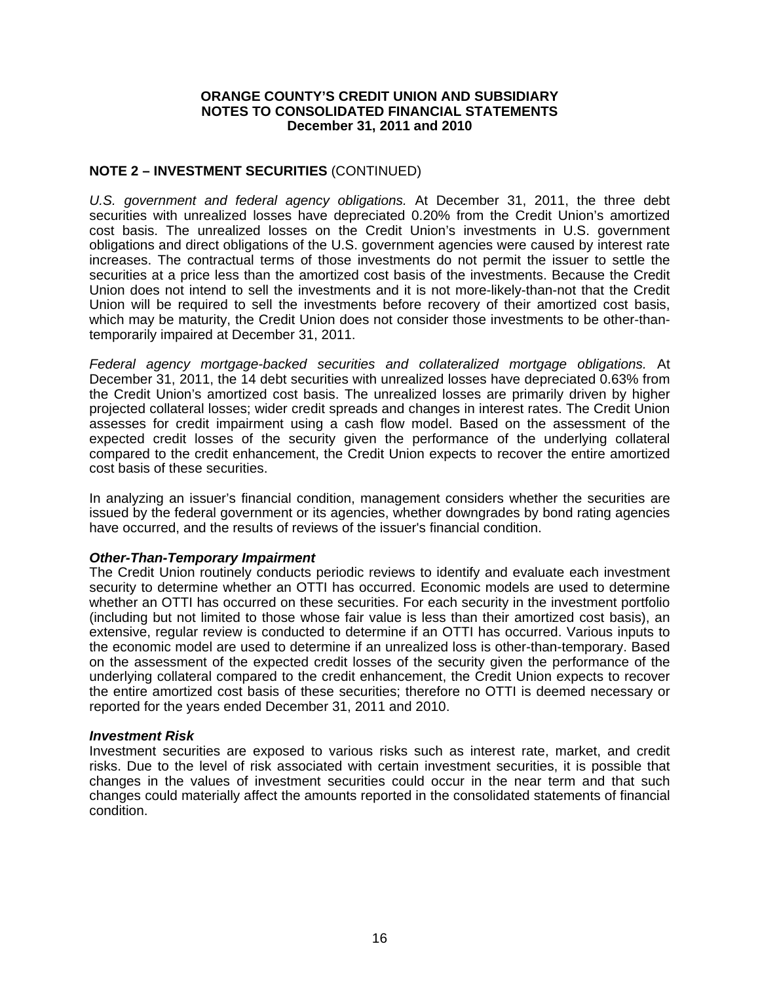# **NOTE 2 – INVESTMENT SECURITIES** (CONTINUED)

*U.S. government and federal agency obligations.* At December 31, 2011, the three debt securities with unrealized losses have depreciated 0.20% from the Credit Union's amortized cost basis. The unrealized losses on the Credit Union's investments in U.S. government obligations and direct obligations of the U.S. government agencies were caused by interest rate increases. The contractual terms of those investments do not permit the issuer to settle the securities at a price less than the amortized cost basis of the investments. Because the Credit Union does not intend to sell the investments and it is not more-likely-than-not that the Credit Union will be required to sell the investments before recovery of their amortized cost basis, which may be maturity, the Credit Union does not consider those investments to be other-thantemporarily impaired at December 31, 2011.

*Federal agency mortgage-backed securities and collateralized mortgage obligations.* At December 31, 2011, the 14 debt securities with unrealized losses have depreciated 0.63% from the Credit Union's amortized cost basis. The unrealized losses are primarily driven by higher projected collateral losses; wider credit spreads and changes in interest rates. The Credit Union assesses for credit impairment using a cash flow model. Based on the assessment of the expected credit losses of the security given the performance of the underlying collateral compared to the credit enhancement, the Credit Union expects to recover the entire amortized cost basis of these securities.

In analyzing an issuer's financial condition, management considers whether the securities are issued by the federal government or its agencies, whether downgrades by bond rating agencies have occurred, and the results of reviews of the issuer's financial condition.

## *Other-Than-Temporary Impairment*

The Credit Union routinely conducts periodic reviews to identify and evaluate each investment security to determine whether an OTTI has occurred. Economic models are used to determine whether an OTTI has occurred on these securities. For each security in the investment portfolio (including but not limited to those whose fair value is less than their amortized cost basis), an extensive, regular review is conducted to determine if an OTTI has occurred. Various inputs to the economic model are used to determine if an unrealized loss is other-than-temporary. Based on the assessment of the expected credit losses of the security given the performance of the underlying collateral compared to the credit enhancement, the Credit Union expects to recover the entire amortized cost basis of these securities; therefore no OTTI is deemed necessary or reported for the years ended December 31, 2011 and 2010.

#### *Investment Risk*

Investment securities are exposed to various risks such as interest rate, market, and credit risks. Due to the level of risk associated with certain investment securities, it is possible that changes in the values of investment securities could occur in the near term and that such changes could materially affect the amounts reported in the consolidated statements of financial condition.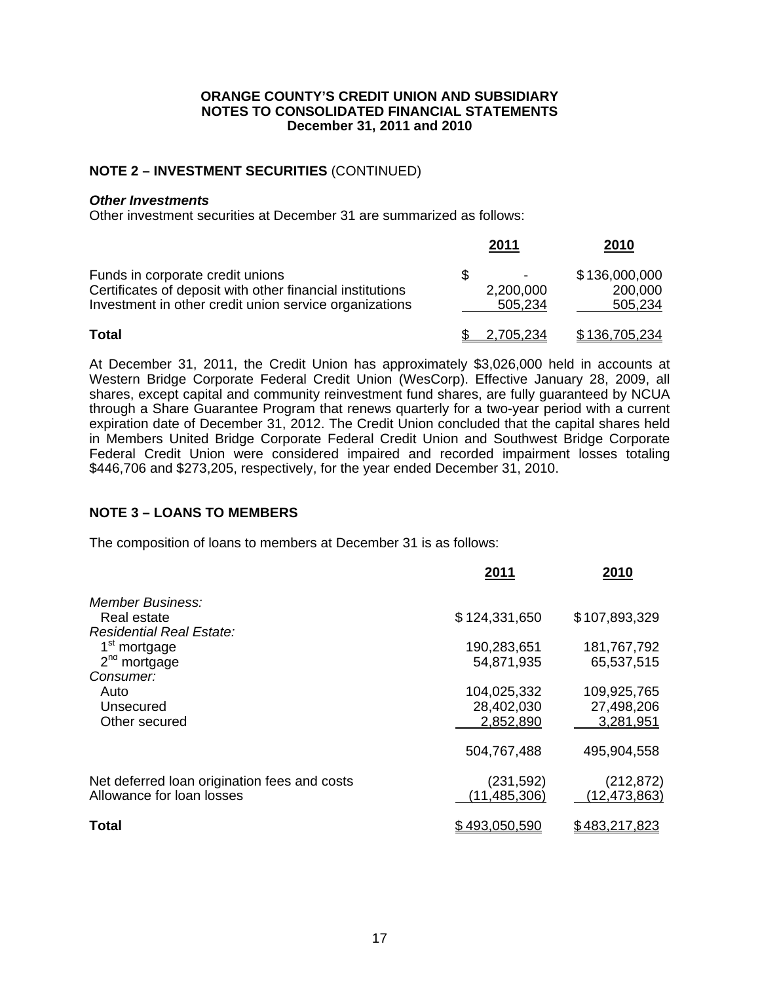# **NOTE 2 – INVESTMENT SECURITIES** (CONTINUED)

## *Other Investments*

Other investment securities at December 31 are summarized as follows:

|                                                                                                                                                         | 2011                 | 2010                                |
|---------------------------------------------------------------------------------------------------------------------------------------------------------|----------------------|-------------------------------------|
| Funds in corporate credit unions<br>Certificates of deposit with other financial institutions<br>Investment in other credit union service organizations | 2,200,000<br>505,234 | \$136,000,000<br>200,000<br>505,234 |
| <b>Total</b>                                                                                                                                            | <u>2,705,234</u>     | \$136,705,234                       |

At December 31, 2011, the Credit Union has approximately \$3,026,000 held in accounts at Western Bridge Corporate Federal Credit Union (WesCorp). Effective January 28, 2009, all shares, except capital and community reinvestment fund shares, are fully guaranteed by NCUA through a Share Guarantee Program that renews quarterly for a two-year period with a current expiration date of December 31, 2012. The Credit Union concluded that the capital shares held in Members United Bridge Corporate Federal Credit Union and Southwest Bridge Corporate Federal Credit Union were considered impaired and recorded impairment losses totaling \$446,706 and \$273,205, respectively, for the year ended December 31, 2010.

# **NOTE 3 – LOANS TO MEMBERS**

The composition of loans to members at December 31 is as follows:

|                                                                           | 2011                                   | 2010                                   |
|---------------------------------------------------------------------------|----------------------------------------|----------------------------------------|
| Member Business:<br>Real estate<br><b>Residential Real Estate:</b>        | \$124,331,650                          | \$107,893,329                          |
| 1 <sup>st</sup> mortgage<br>$2nd$ mortgage                                | 190,283,651<br>54,871,935              | 181,767,792<br>65,537,515              |
| Consumer:<br>Auto<br>Unsecured<br>Other secured                           | 104,025,332<br>28,402,030<br>2,852,890 | 109,925,765<br>27,498,206<br>3,281,951 |
|                                                                           | 504,767,488                            | 495,904,558                            |
| Net deferred loan origination fees and costs<br>Allowance for loan losses | (231, 592)<br>(11, 485, 306)           | (212, 872)<br>(12, 473, 863)           |
| <b>Total</b>                                                              | \$493,050,590                          | \$483,217,823                          |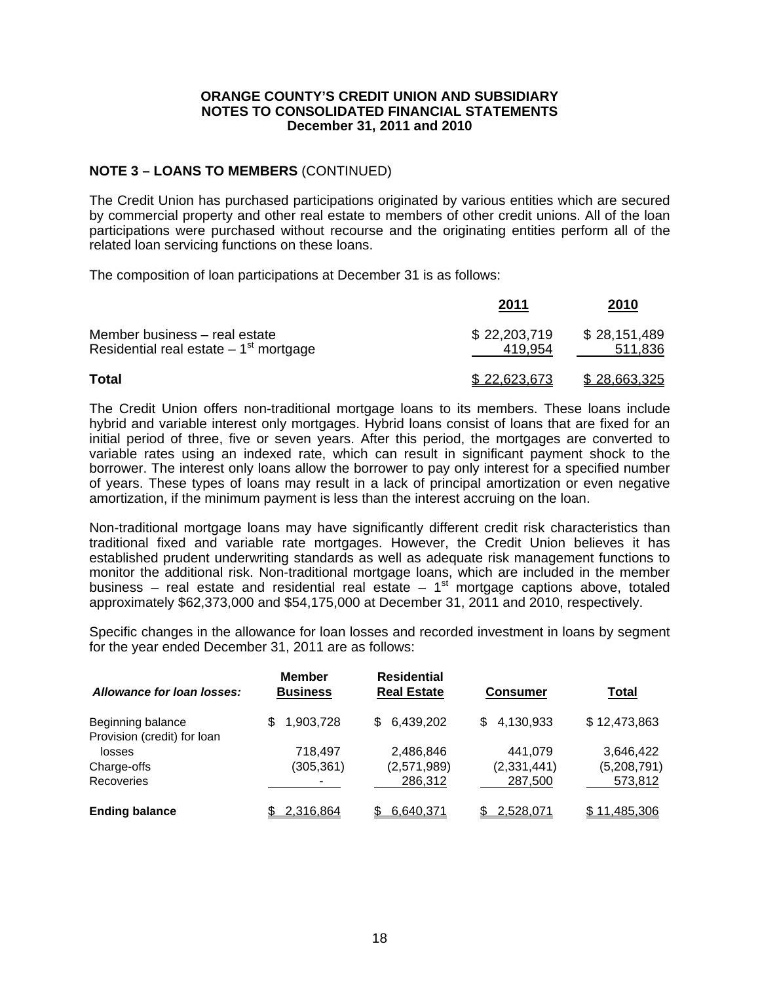# **NOTE 3 – LOANS TO MEMBERS** (CONTINUED)

The Credit Union has purchased participations originated by various entities which are secured by commercial property and other real estate to members of other credit unions. All of the loan participations were purchased without recourse and the originating entities perform all of the related loan servicing functions on these loans.

The composition of loan participations at December 31 is as follows:

|                                                                          | <u> 2011</u>            | <u>2010</u>             |
|--------------------------------------------------------------------------|-------------------------|-------------------------|
| Member business - real estate<br>Residential real estate $-1st$ mortgage | \$22,203,719<br>419.954 | \$28,151,489<br>511,836 |
| Total                                                                    | \$22,623,673            | \$28,663,325            |

The Credit Union offers non-traditional mortgage loans to its members. These loans include hybrid and variable interest only mortgages. Hybrid loans consist of loans that are fixed for an initial period of three, five or seven years. After this period, the mortgages are converted to variable rates using an indexed rate, which can result in significant payment shock to the borrower. The interest only loans allow the borrower to pay only interest for a specified number of years. These types of loans may result in a lack of principal amortization or even negative amortization, if the minimum payment is less than the interest accruing on the loan.

Non-traditional mortgage loans may have significantly different credit risk characteristics than traditional fixed and variable rate mortgages. However, the Credit Union believes it has established prudent underwriting standards as well as adequate risk management functions to monitor the additional risk. Non-traditional mortgage loans, which are included in the member business – real estate and residential real estate –  $1<sup>st</sup>$  mortgage captions above, totaled approximately \$62,373,000 and \$54,175,000 at December 31, 2011 and 2010, respectively.

Specific changes in the allowance for loan losses and recorded investment in loans by segment for the year ended December 31, 2011 are as follows:

| Allowance for loan losses:  | <b>Member</b><br><b>Business</b> | <b>Residential</b><br><b>Real Estate</b> | <b>Consumer</b>  | <b>Total</b> |
|-----------------------------|----------------------------------|------------------------------------------|------------------|--------------|
| Beginning balance           | 1,903,728<br>\$.                 | \$6,439,202                              | 4,130,933<br>\$. | \$12,473,863 |
| Provision (credit) for loan |                                  |                                          |                  |              |
| losses                      | 718,497                          | 2,486,846                                | 441,079          | 3,646,422    |
| Charge-offs                 | (305, 361)                       | (2,571,989)                              | (2,331,441)      | (5,208,791)  |
| Recoveries                  |                                  | 286,312                                  | 287,500          | 573,812      |
| <b>Ending balance</b>       | 2,316,864                        | 6,640,371                                | 2,528,071        | \$11,485,306 |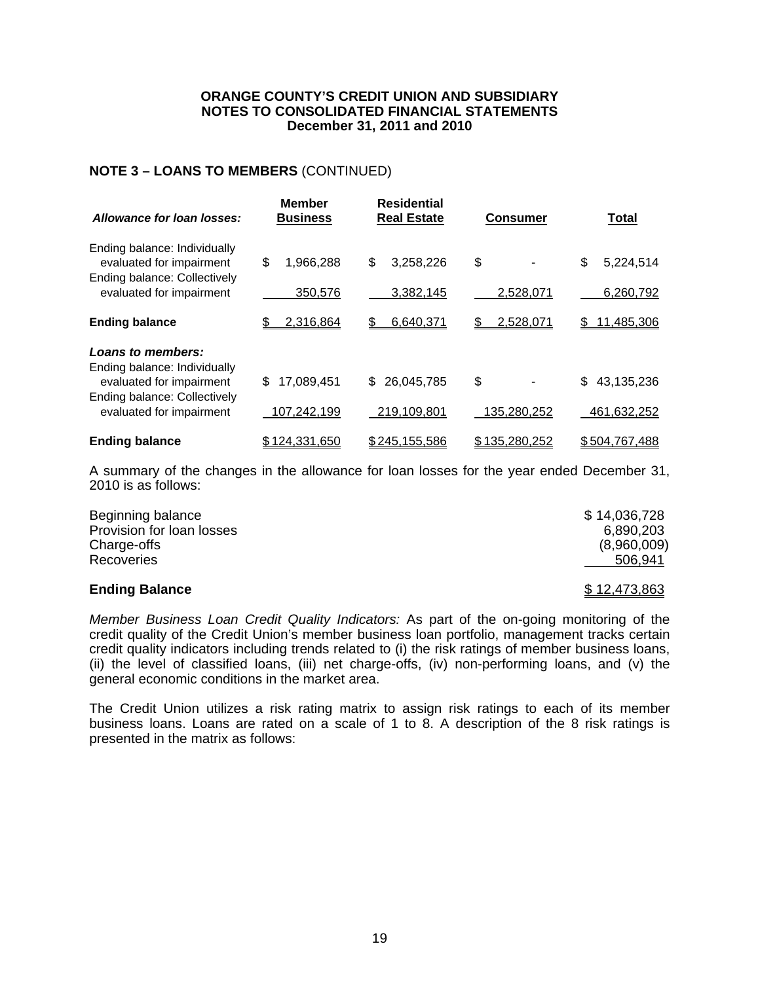# **NOTE 3 – LOANS TO MEMBERS** (CONTINUED)

| Allowance for loan losses:                                                               | <b>Member</b><br><b>Business</b> | <b>Residential</b><br><b>Real Estate</b> | <b>Consumer</b> | Total             |
|------------------------------------------------------------------------------------------|----------------------------------|------------------------------------------|-----------------|-------------------|
| Ending balance: Individually<br>evaluated for impairment<br>Ending balance: Collectively | \$<br>1,966,288                  | \$<br>3,258,226                          | \$              | \$<br>5,224,514   |
| evaluated for impairment                                                                 | 350,576                          | 3,382,145                                | 2,528,071       | 6,260,792         |
| <b>Ending balance</b>                                                                    | 2,316,864<br>\$                  | 6,640,371<br>\$                          | 2,528,071<br>\$ | 11,485,306<br>\$. |
| Loans to members:<br>Ending balance: Individually                                        |                                  |                                          |                 |                   |
| evaluated for impairment<br>Ending balance: Collectively                                 | 17,089,451<br>\$                 | 26,045,785<br>\$.                        | \$              | 43,135,236<br>\$  |
| evaluated for impairment                                                                 | 107,242,199                      | 219,109,801                              | 135,280,252     | 461,632,252       |
| <b>Ending balance</b>                                                                    | \$124,331,650                    | \$245,155,586                            | \$135,280,252   | \$504,767,488     |

A summary of the changes in the allowance for loan losses for the year ended December 31, 2010 is as follows:

| <b>Ending Balance</b>     | \$12,473,863 |
|---------------------------|--------------|
| <b>Recoveries</b>         | 506.941      |
| Charge-offs               | (8,960,009)  |
| Provision for loan losses | 6,890,203    |
| Beginning balance         | \$14,036,728 |

*Member Business Loan Credit Quality Indicators:* As part of the on-going monitoring of the credit quality of the Credit Union's member business loan portfolio, management tracks certain credit quality indicators including trends related to (i) the risk ratings of member business loans, (ii) the level of classified loans, (iii) net charge-offs, (iv) non-performing loans, and (v) the general economic conditions in the market area.

The Credit Union utilizes a risk rating matrix to assign risk ratings to each of its member business loans. Loans are rated on a scale of 1 to 8. A description of the 8 risk ratings is presented in the matrix as follows: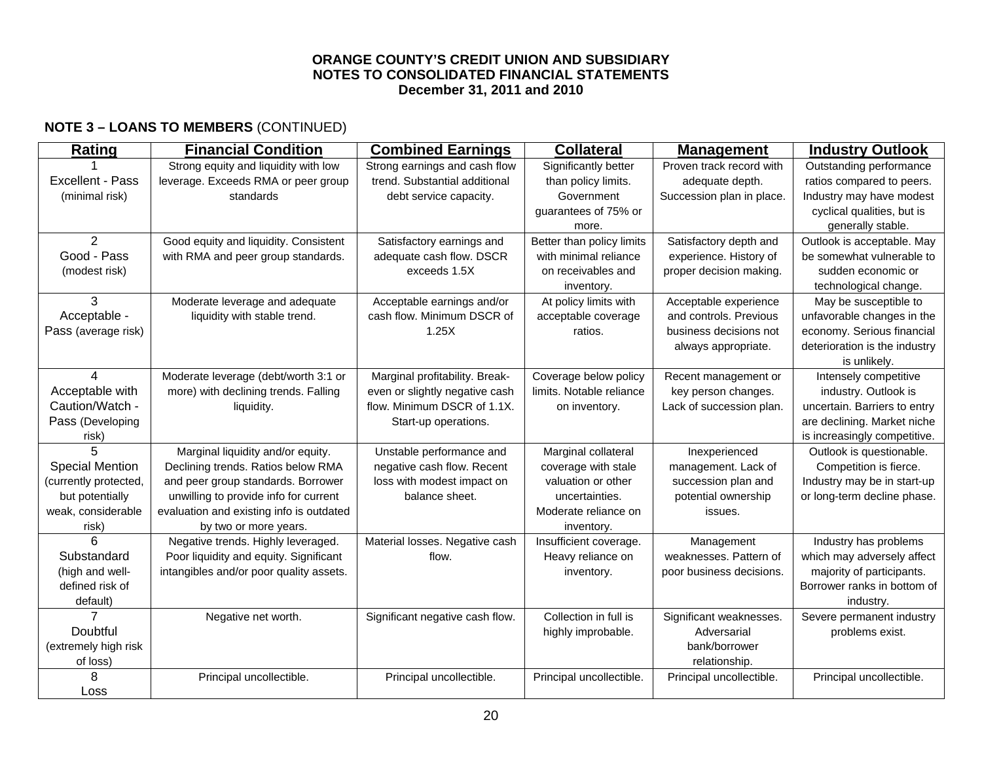# **NOTE 3 – LOANS TO MEMBERS** (CONTINUED)

| Rating                  | <b>Financial Condition</b>               | <b>Combined Earnings</b>        | <b>Collateral</b>         | <b>Management</b>         | <b>Industry Outlook</b>       |
|-------------------------|------------------------------------------|---------------------------------|---------------------------|---------------------------|-------------------------------|
|                         | Strong equity and liquidity with low     | Strong earnings and cash flow   | Significantly better      | Proven track record with  | Outstanding performance       |
| <b>Excellent - Pass</b> | leverage. Exceeds RMA or peer group      | trend. Substantial additional   | than policy limits.       | adequate depth.           | ratios compared to peers.     |
| (minimal risk)          | standards                                | debt service capacity.          | Government                | Succession plan in place. | Industry may have modest      |
|                         |                                          |                                 | guarantees of 75% or      |                           | cyclical qualities, but is    |
|                         |                                          |                                 | more.                     |                           | generally stable.             |
| $\overline{2}$          | Good equity and liquidity. Consistent    | Satisfactory earnings and       | Better than policy limits | Satisfactory depth and    | Outlook is acceptable. May    |
| Good - Pass             | with RMA and peer group standards.       | adequate cash flow. DSCR        | with minimal reliance     | experience. History of    | be somewhat vulnerable to     |
| (modest risk)           |                                          | exceeds 1.5X                    | on receivables and        | proper decision making.   | sudden economic or            |
|                         |                                          |                                 | inventory.                |                           | technological change.         |
| 3                       | Moderate leverage and adequate           | Acceptable earnings and/or      | At policy limits with     | Acceptable experience     | May be susceptible to         |
| Acceptable -            | liquidity with stable trend.             | cash flow. Minimum DSCR of      | acceptable coverage       | and controls. Previous    | unfavorable changes in the    |
| Pass (average risk)     |                                          | 1.25X                           | ratios.                   | business decisions not    | economy. Serious financial    |
|                         |                                          |                                 |                           | always appropriate.       | deterioration is the industry |
|                         |                                          |                                 |                           |                           | is unlikely.                  |
| $\mathbf{\Lambda}$      | Moderate leverage (debt/worth 3:1 or     | Marginal profitability. Break-  | Coverage below policy     | Recent management or      | Intensely competitive         |
| Acceptable with         | more) with declining trends. Falling     | even or slightly negative cash  | limits. Notable reliance  | key person changes.       | industry. Outlook is          |
| Caution/Watch -         | liquidity.                               | flow. Minimum DSCR of 1.1X.     | on inventory.             | Lack of succession plan.  | uncertain. Barriers to entry  |
| Pass (Developing        |                                          | Start-up operations.            |                           |                           | are declining. Market niche   |
| risk)                   |                                          |                                 |                           |                           | is increasingly competitive.  |
| 5                       | Marginal liquidity and/or equity.        | Unstable performance and        | Marginal collateral       | Inexperienced             | Outlook is questionable.      |
| <b>Special Mention</b>  | Declining trends. Ratios below RMA       | negative cash flow. Recent      | coverage with stale       | management. Lack of       | Competition is fierce.        |
| (currently protected,   | and peer group standards. Borrower       | loss with modest impact on      | valuation or other        | succession plan and       | Industry may be in start-up   |
| but potentially         | unwilling to provide info for current    | balance sheet.                  | uncertainties.            | potential ownership       | or long-term decline phase.   |
| weak, considerable      | evaluation and existing info is outdated |                                 | Moderate reliance on      | issues.                   |                               |
| risk)                   | by two or more years.                    |                                 | inventory.                |                           |                               |
| 6                       | Negative trends. Highly leveraged.       | Material losses. Negative cash  | Insufficient coverage.    | Management                | Industry has problems         |
| Substandard             | Poor liquidity and equity. Significant   | flow.                           | Heavy reliance on         | weaknesses. Pattern of    | which may adversely affect    |
| (high and well-         | intangibles and/or poor quality assets.  |                                 | inventory.                | poor business decisions.  | majority of participants.     |
| defined risk of         |                                          |                                 |                           |                           | Borrower ranks in bottom of   |
| default)                |                                          |                                 |                           |                           | industry.                     |
|                         | Negative net worth.                      | Significant negative cash flow. | Collection in full is     | Significant weaknesses.   | Severe permanent industry     |
| Doubtful                |                                          |                                 | highly improbable.        | Adversarial               | problems exist.               |
| (extremely high risk    |                                          |                                 |                           | bank/borrower             |                               |
| of loss)                |                                          |                                 |                           | relationship.             |                               |
| 8                       | Principal uncollectible.                 | Principal uncollectible.        | Principal uncollectible.  | Principal uncollectible.  | Principal uncollectible.      |
| Loss                    |                                          |                                 |                           |                           |                               |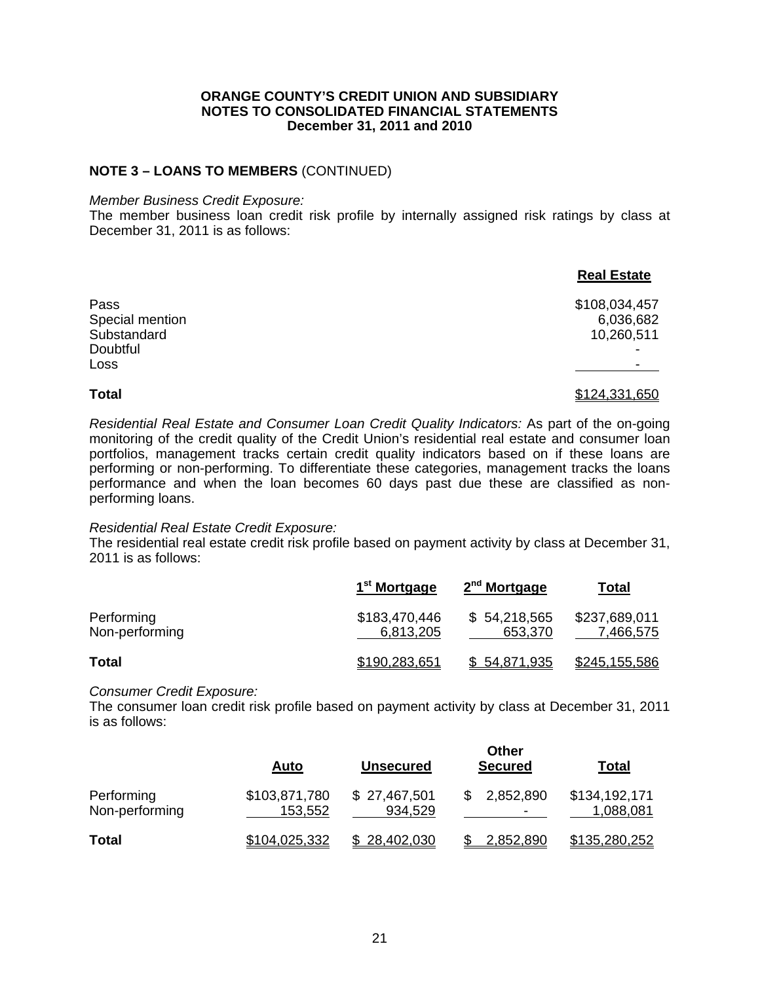## **NOTE 3 – LOANS TO MEMBERS** (CONTINUED)

#### *Member Business Credit Exposure:*

The member business loan credit risk profile by internally assigned risk ratings by class at December 31, 2011 is as follows:

|                 | <b>Real Estate</b> |
|-----------------|--------------------|
| Pass            | \$108,034,457      |
| Special mention | 6,036,682          |
| Substandard     | 10,260,511         |
| Doubtful        |                    |
| Loss            |                    |
| <b>Total</b>    | \$124,331,650      |

*Residential Real Estate and Consumer Loan Credit Quality Indicators:* As part of the on-going monitoring of the credit quality of the Credit Union's residential real estate and consumer loan portfolios, management tracks certain credit quality indicators based on if these loans are performing or non-performing. To differentiate these categories, management tracks the loans performance and when the loan becomes 60 days past due these are classified as nonperforming loans.

## *Residential Real Estate Credit Exposure:*

The residential real estate credit risk profile based on payment activity by class at December 31, 2011 is as follows:

|                              | 1 <sup>st</sup> Mortgage   | 2 <sup>nd</sup> Mortgage | <u>Total</u>               |
|------------------------------|----------------------------|--------------------------|----------------------------|
| Performing<br>Non-performing | \$183,470,446<br>6,813,205 | \$54,218,565<br>653,370  | \$237,689,011<br>7,466,575 |
| <b>Total</b>                 | \$190,283,651              | \$54,871,935             | \$245,155,586              |

## *Consumer Credit Exposure:*

The consumer loan credit risk profile based on payment activity by class at December 31, 2011 is as follows:

|                              | <u>Auto</u>              | <u>Unsecured</u>        | Other<br><b>Secured</b> | <u>Total</u>               |
|------------------------------|--------------------------|-------------------------|-------------------------|----------------------------|
| Performing<br>Non-performing | \$103,871,780<br>153,552 | \$27,467,501<br>934,529 | 2,852,890               | \$134,192,171<br>1,088,081 |
| <b>Total</b>                 | \$104,025,332            | \$28,402,030            | 2,852,890               | \$135,280,252              |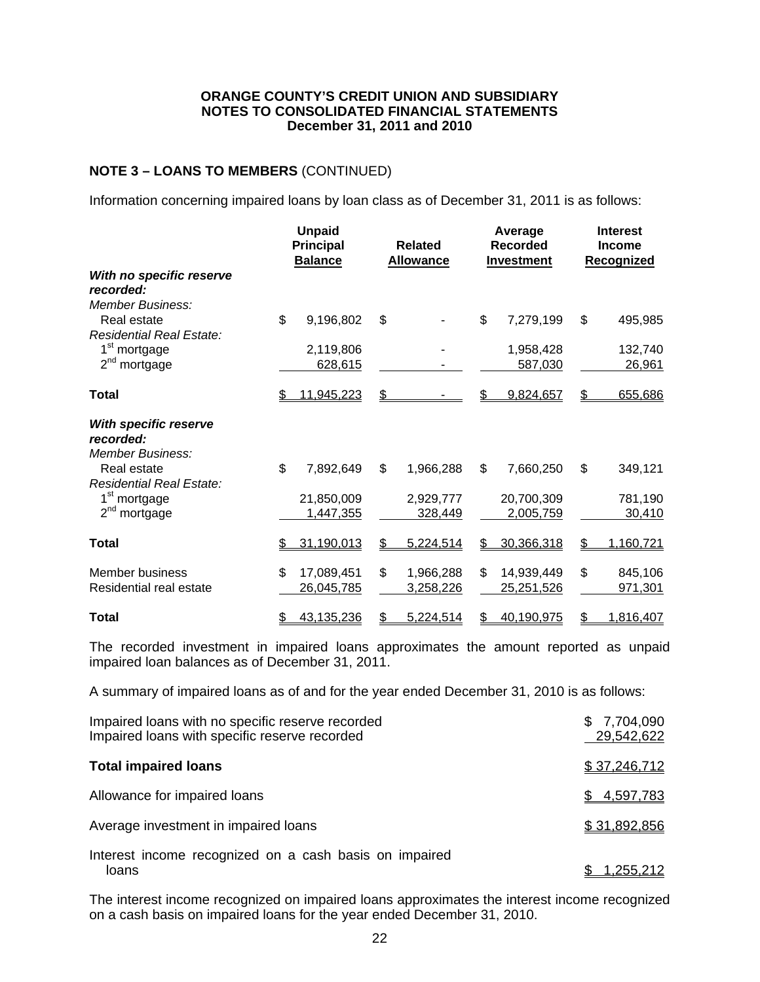# **NOTE 3 – LOANS TO MEMBERS** (CONTINUED)

Information concerning impaired loans by loan class as of December 31, 2011 is as follows:

|                                                           | <b>Unpaid</b><br><b>Principal</b><br><b>Balance</b> | <b>Related</b><br><b>Allowance</b> | Average<br><b>Recorded</b><br><b>Investment</b> | <b>Interest</b><br><b>Income</b><br><b>Recognized</b> |
|-----------------------------------------------------------|-----------------------------------------------------|------------------------------------|-------------------------------------------------|-------------------------------------------------------|
| With no specific reserve<br>recorded:<br>Member Business: |                                                     |                                    |                                                 |                                                       |
| Real estate<br>Residential Real Estate:                   | \$<br>9,196,802                                     | \$                                 | \$<br>7,279,199                                 | \$<br>495,985                                         |
| 1 <sup>st</sup> mortgage<br>2 <sup>nd</sup> mortgage      | 2,119,806<br>628,615                                |                                    | 1,958,428<br>587,030                            | 132,740<br>26,961                                     |
| <b>Total</b>                                              | 11,945,223<br>S                                     | \$                                 | 9,824,657                                       | \$<br>655,686                                         |
| With specific reserve<br>recorded:<br>Member Business:    |                                                     |                                    |                                                 |                                                       |
| Real estate<br><b>Residential Real Estate:</b>            | \$<br>7,892,649                                     | \$<br>1,966,288                    | \$<br>7,660,250                                 | \$<br>349,121                                         |
| 1 <sup>st</sup> mortgage<br>$2^{nd}$<br>mortgage          | 21,850,009<br>1,447,355                             | 2,929,777<br>328,449               | 20,700,309<br>2,005,759                         | 781,190<br>30,410                                     |
| Total                                                     | 31,190,013<br>S.                                    | 5,224,514<br>\$                    | 30,366,318<br>\$.                               | 1,160,721<br>\$                                       |
| Member business<br>Residential real estate                | \$.<br>17,089,451<br>26,045,785                     | \$<br>1,966,288<br>3,258,226       | 14,939,449<br>\$<br>25,251,526                  | \$<br>845,106<br>971,301                              |
| Total                                                     | 43,135,236<br>\$                                    | \$<br>5,224,514                    | 40,190,975<br>\$                                | \$<br>1,816,407                                       |

The recorded investment in impaired loans approximates the amount reported as unpaid impaired loan balances as of December 31, 2011.

A summary of impaired loans as of and for the year ended December 31, 2010 is as follows:

| Impaired loans with no specific reserve recorded<br>Impaired loans with specific reserve recorded | 7,704,090<br>\$.<br>29,542,622 |
|---------------------------------------------------------------------------------------------------|--------------------------------|
| <b>Total impaired loans</b>                                                                       | \$37,246,712                   |
| Allowance for impaired loans                                                                      | 4,597,783<br>\$                |
| Average investment in impaired loans                                                              | \$31,892,856                   |
| Interest income recognized on a cash basis on impaired<br>loans                                   | 1,255,212                      |

The interest income recognized on impaired loans approximates the interest income recognized on a cash basis on impaired loans for the year ended December 31, 2010.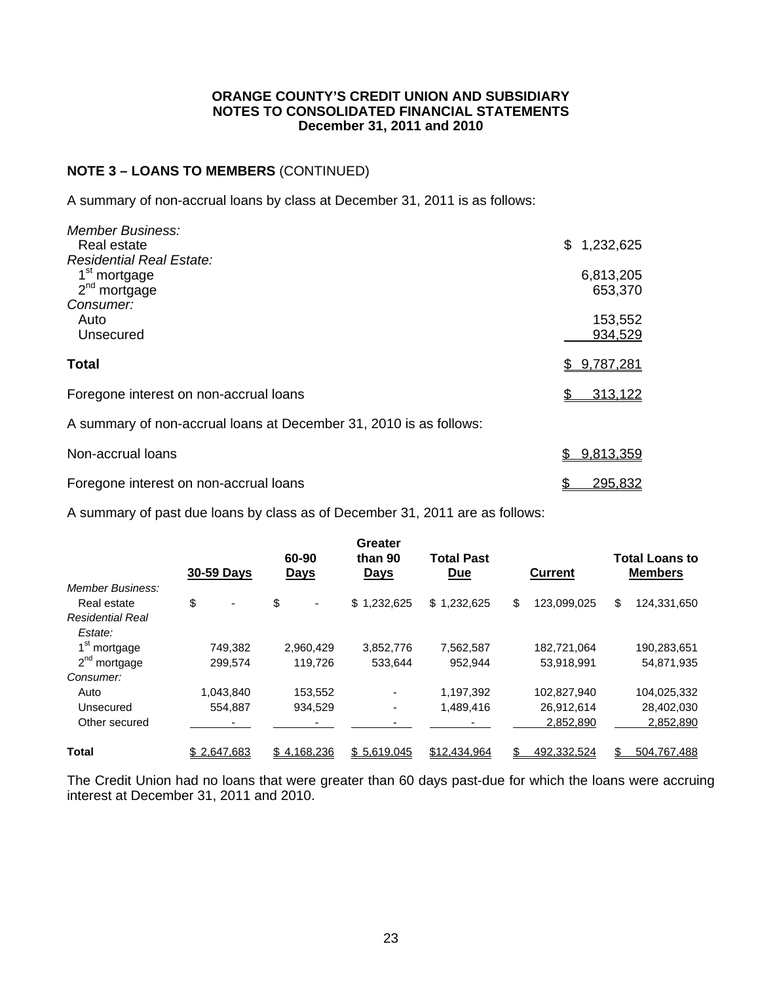# **NOTE 3 – LOANS TO MEMBERS** (CONTINUED)

A summary of non-accrual loans by class at December 31, 2011 is as follows:

| <b>Member Business:</b><br>Real estate                             | \$1,232,625        |
|--------------------------------------------------------------------|--------------------|
| <b>Residential Real Estate:</b><br>1 <sup>st</sup> mortgage        | 6,813,205          |
| $2nd$ mortgage<br>Consumer:                                        | 653,370            |
| Auto<br>Unsecured                                                  | 153,552<br>934,529 |
| <b>Total</b>                                                       | \$9,787,281        |
| Foregone interest on non-accrual loans                             | 313,122            |
| A summary of non-accrual loans at December 31, 2010 is as follows: |                    |
|                                                                    |                    |

| Non-accrual loans                      | \$9,813,359 |
|----------------------------------------|-------------|
| Foregone interest on non-accrual loans | 295,832     |

A summary of past due loans by class as of December 31, 2011 are as follows:

|                          | 30-59 Days                     | 60-90<br><u>Days</u> | <b>Greater</b><br>than 90<br><u>Days</u> | <b>Total Past</b><br><b>Due</b> | <b>Current</b>    | <b>Total Loans to</b><br><b>Members</b> |
|--------------------------|--------------------------------|----------------------|------------------------------------------|---------------------------------|-------------------|-----------------------------------------|
| Member Business:         |                                |                      |                                          |                                 |                   |                                         |
| Real estate              | \$<br>$\overline{\phantom{a}}$ | \$<br>-              | \$1,232,625                              | \$1,232,625                     | \$<br>123,099,025 | \$<br>124,331,650                       |
| <b>Residential Real</b>  |                                |                      |                                          |                                 |                   |                                         |
| Estate:                  |                                |                      |                                          |                                 |                   |                                         |
| 1 <sup>st</sup> mortgage | 749,382                        | 2,960,429            | 3,852,776                                | 7,562,587                       | 182,721,064       | 190,283,651                             |
| $2nd$ mortgage           | 299.574                        | 119.726              | 533.644                                  | 952.944                         | 53.918.991        | 54,871,935                              |
| Consumer:                |                                |                      |                                          |                                 |                   |                                         |
| Auto                     | 1.043.840                      | 153,552              |                                          | 1,197,392                       | 102,827,940       | 104,025,332                             |
| Unsecured                | 554.887                        | 934,529              |                                          | 1,489,416                       | 26,912,614        | 28,402,030                              |
| Other secured            |                                |                      |                                          |                                 | 2,852,890         | 2,852,890                               |
| <b>Total</b>             | \$2.647.683                    | \$4.168.236          | \$5.619.045                              | \$12.434.964                    | 492.332.524       | 504.767.488                             |

The Credit Union had no loans that were greater than 60 days past-due for which the loans were accruing interest at December 31, 2011 and 2010.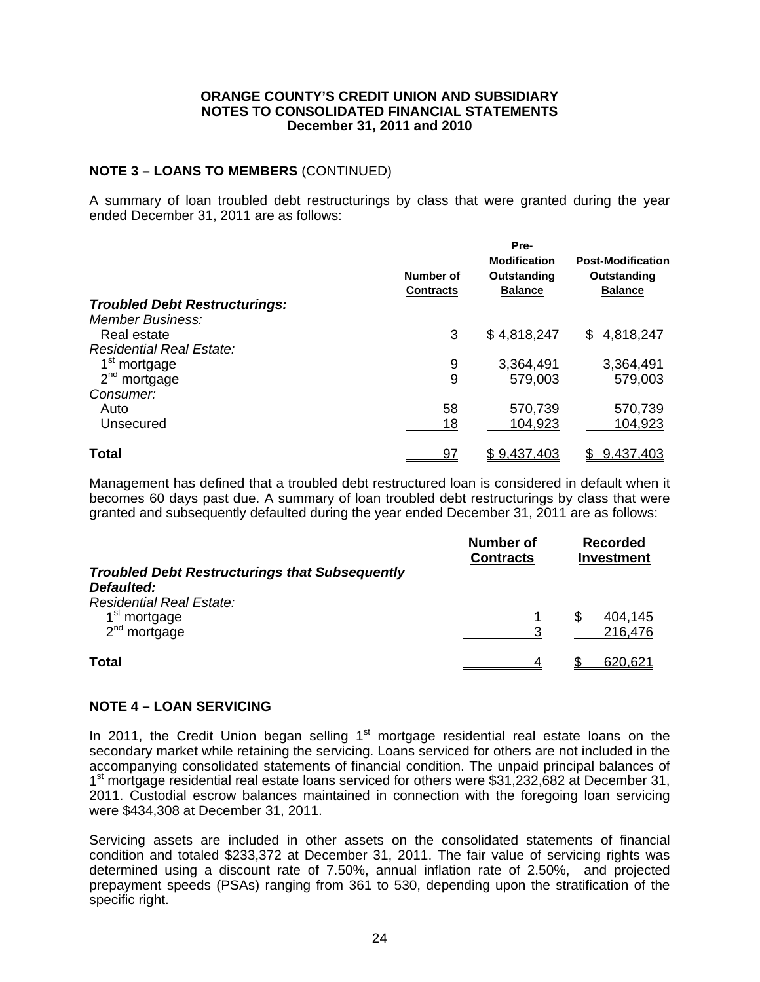# **NOTE 3 – LOANS TO MEMBERS** (CONTINUED)

A summary of loan troubled debt restructurings by class that were granted during the year ended December 31, 2011 are as follows:

|                                      | Pre-             |                     |                          |
|--------------------------------------|------------------|---------------------|--------------------------|
|                                      |                  | <b>Modification</b> | <b>Post-Modification</b> |
|                                      | Number of        | Outstanding         | Outstanding              |
|                                      | <b>Contracts</b> | <b>Balance</b>      | <b>Balance</b>           |
| <b>Troubled Debt Restructurings:</b> |                  |                     |                          |
| <b>Member Business:</b>              |                  |                     |                          |
| Real estate                          | 3                | \$4,818,247         | 4,818,247<br>\$          |
| <b>Residential Real Estate:</b>      |                  |                     |                          |
| 1 <sup>st</sup> mortgage             | 9                | 3,364,491           | 3,364,491                |
| $2nd$ mortgage                       | 9                | 579,003             | 579,003                  |
| Consumer:                            |                  |                     |                          |
| Auto                                 | 58               | 570,739             | 570,739                  |
| Unsecured                            | 18               | 104,923             | 104,923                  |
| <b>Total</b>                         | <u>97</u>        | \$9,437,403         | 9,437,403                |

Management has defined that a troubled debt restructured loan is considered in default when it becomes 60 days past due. A summary of loan troubled debt restructurings by class that were granted and subsequently defaulted during the year ended December 31, 2011 are as follows:

|                                                       | Number of<br><b>Contracts</b> | <b>Recorded</b><br><b>Investment</b> |
|-------------------------------------------------------|-------------------------------|--------------------------------------|
| <b>Troubled Debt Restructurings that Subsequently</b> |                               |                                      |
| Defaulted:                                            |                               |                                      |
| <b>Residential Real Estate:</b>                       |                               |                                      |
| 1 <sup>st</sup> mortgage                              |                               | 404,145<br>S                         |
| $2nd$ mortgage                                        |                               | 216,476                              |
| Total                                                 |                               | 620,621                              |

# **NOTE 4 – LOAN SERVICING**

In 2011, the Credit Union began selling  $1<sup>st</sup>$  mortgage residential real estate loans on the secondary market while retaining the servicing. Loans serviced for others are not included in the accompanying consolidated statements of financial condition. The unpaid principal balances of 1<sup>st</sup> mortgage residential real estate loans serviced for others were \$31,232,682 at December 31, 2011. Custodial escrow balances maintained in connection with the foregoing loan servicing were \$434,308 at December 31, 2011.

Servicing assets are included in other assets on the consolidated statements of financial condition and totaled \$233,372 at December 31, 2011. The fair value of servicing rights was determined using a discount rate of 7.50%, annual inflation rate of 2.50%, and projected prepayment speeds (PSAs) ranging from 361 to 530, depending upon the stratification of the specific right.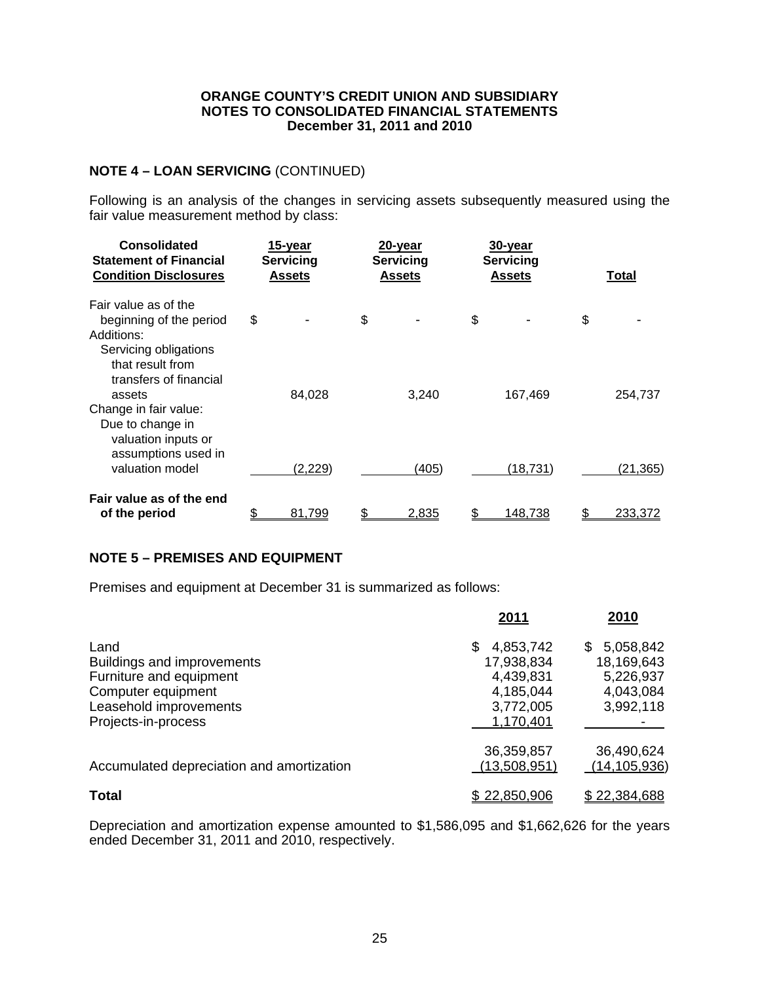# **NOTE 4 – LOAN SERVICING** (CONTINUED)

Following is an analysis of the changes in servicing assets subsequently measured using the fair value measurement method by class:

| Consolidated<br><b>Statement of Financial</b><br><b>Condition Disclosures</b>                                                        | 15-year<br><b>Servicing</b><br><b>Assets</b> | 20-year<br><b>Servicing</b><br>Assets | 30-year<br><b>Servicing</b><br>Assets | Total                |
|--------------------------------------------------------------------------------------------------------------------------------------|----------------------------------------------|---------------------------------------|---------------------------------------|----------------------|
| Fair value as of the<br>beginning of the period<br>Additions:<br>Servicing obligations<br>that result from<br>transfers of financial | \$                                           | \$                                    | \$                                    | \$                   |
| assets<br>Change in fair value:<br>Due to change in<br>valuation inputs or<br>assumptions used in                                    | 84.028                                       | 3,240                                 | 167,469                               | 254,737              |
| valuation model<br>Fair value as of the end<br>of the period                                                                         | (2, 229)<br>81,799                           | (405)<br>2,835                        | (18, 731)<br><u>148,738</u>           | (21, 365)<br>233,372 |

# **NOTE 5 – PREMISES AND EQUIPMENT**

Premises and equipment at December 31 is summarized as follows:

|                                                                                                                      | 2011                                                                | 2010                                                                  |
|----------------------------------------------------------------------------------------------------------------------|---------------------------------------------------------------------|-----------------------------------------------------------------------|
| Land<br><b>Buildings and improvements</b><br>Furniture and equipment<br>Computer equipment<br>Leasehold improvements | 4,853,742<br>S<br>17,938,834<br>4,439,831<br>4,185,044<br>3,772,005 | 5,058,842<br>\$.<br>18,169,643<br>5,226,937<br>4,043,084<br>3,992,118 |
| Projects-in-process                                                                                                  | 1,170,401                                                           |                                                                       |
| Accumulated depreciation and amortization                                                                            | 36,359,857<br>(13,508,951)                                          | 36,490,624<br>(14, 105, 936)                                          |
| <b>Total</b>                                                                                                         | \$22,850,906                                                        | \$22,384,688                                                          |

Depreciation and amortization expense amounted to \$1,586,095 and \$1,662,626 for the years ended December 31, 2011 and 2010, respectively.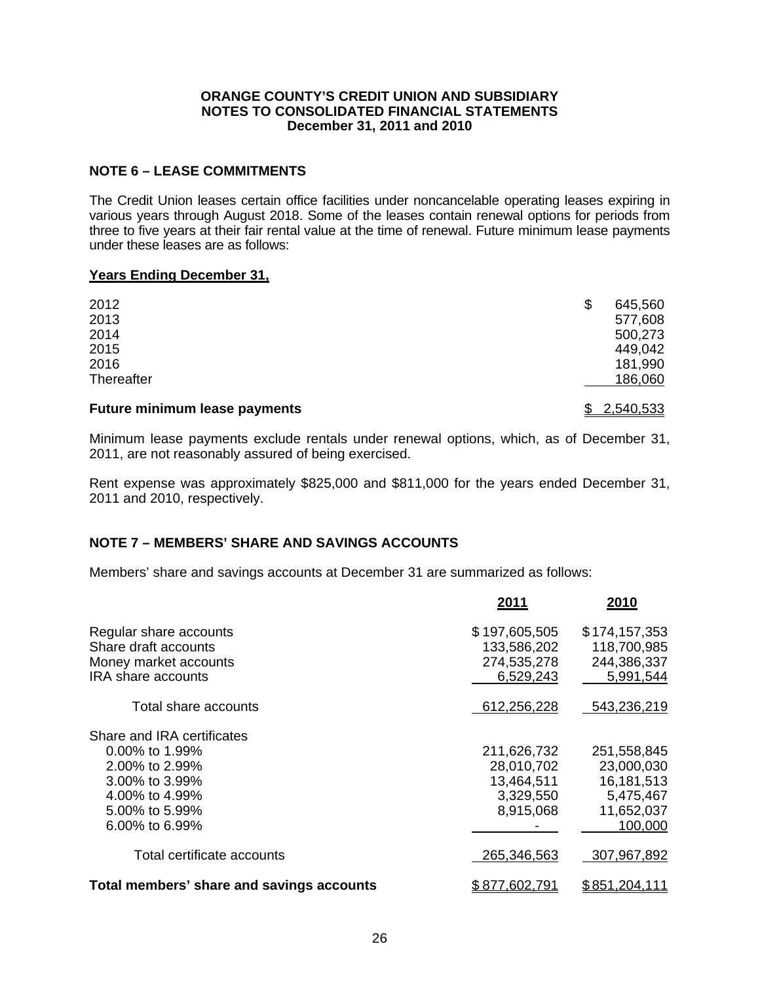# **NOTE 6 – LEASE COMMITMENTS**

The Credit Union leases certain office facilities under noncancelable operating leases expiring in various years through August 2018. Some of the leases contain renewal options for periods from three to five years at their fair rental value at the time of renewal. Future minimum lease payments under these leases are as follows:

## **Years Ending December 31,**

| <b>Future minimum lease payments</b> | \$2,540,533 |         |
|--------------------------------------|-------------|---------|
| Thereafter                           |             | 186,060 |
| 2016                                 |             | 181,990 |
| 2015                                 |             | 449,042 |
| 2014                                 |             | 500,273 |
| 2013                                 |             | 577,608 |
| 2012                                 | \$          | 645,560 |
|                                      |             |         |

Minimum lease payments exclude rentals under renewal options, which, as of December 31, 2011, are not reasonably assured of being exercised.

Rent expense was approximately \$825,000 and \$811,000 for the years ended December 31, 2011 and 2010, respectively.

# **NOTE 7 – MEMBERS' SHARE AND SAVINGS ACCOUNTS**

Members' share and savings accounts at December 31 are summarized as follows:

|                                                                                                                                           | 2011                                                              | 2010                                                                            |
|-------------------------------------------------------------------------------------------------------------------------------------------|-------------------------------------------------------------------|---------------------------------------------------------------------------------|
| Regular share accounts<br>Share draft accounts<br>Money market accounts<br><b>IRA</b> share accounts                                      | \$197,605,505<br>133,586,202<br>274,535,278<br>6,529,243          | \$174,157,353<br>118,700,985<br>244,386,337<br>5,991,544                        |
| Total share accounts                                                                                                                      | 612,256,228                                                       | 543,236,219                                                                     |
| Share and IRA certificates<br>$0.00\%$ to 1.99%<br>2.00% to 2.99%<br>3.00% to 3.99%<br>4.00% to 4.99%<br>5.00% to 5.99%<br>6.00% to 6.99% | 211,626,732<br>28,010,702<br>13,464,511<br>3,329,550<br>8,915,068 | 251,558,845<br>23,000,030<br>16, 181, 513<br>5,475,467<br>11,652,037<br>100,000 |
| Total certificate accounts                                                                                                                | 265,346,563                                                       | 307,967,892                                                                     |
| Total members' share and savings accounts                                                                                                 | \$877,602,791                                                     | \$851,204,111                                                                   |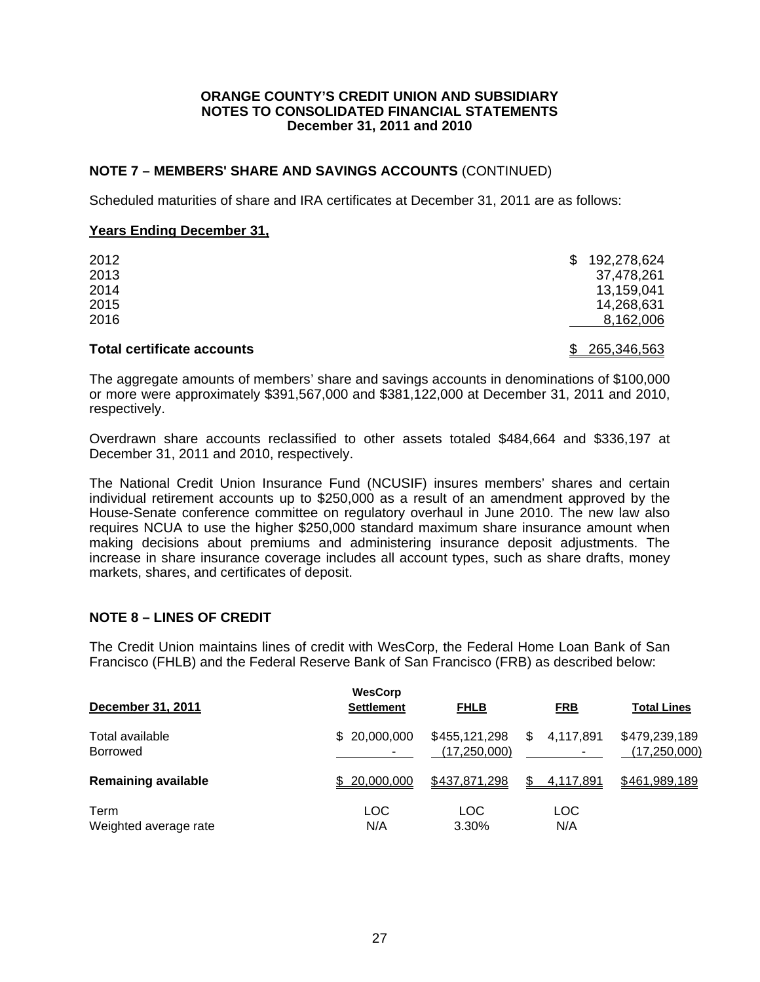# **NOTE 7 – MEMBERS' SHARE AND SAVINGS ACCOUNTS** (CONTINUED)

Scheduled maturities of share and IRA certificates at December 31, 2011 are as follows:

## **Years Ending December 31,**

| 2012 | S. | 192,278,624 |
|------|----|-------------|
| 2013 |    | 37,478,261  |
| 2014 |    | 13,159,041  |
| 2015 |    | 14,268,631  |
| 2016 |    | 8,162,006   |
|      |    |             |

# **Total certificate accounts** \$ 265,346,563

The aggregate amounts of members' share and savings accounts in denominations of \$100,000 or more were approximately \$391,567,000 and \$381,122,000 at December 31, 2011 and 2010, respectively.

Overdrawn share accounts reclassified to other assets totaled \$484,664 and \$336,197 at December 31, 2011 and 2010, respectively.

The National Credit Union Insurance Fund (NCUSIF) insures members' shares and certain individual retirement accounts up to \$250,000 as a result of an amendment approved by the House-Senate conference committee on regulatory overhaul in June 2010. The new law also requires NCUA to use the higher \$250,000 standard maximum share insurance amount when making decisions about premiums and administering insurance deposit adjustments. The increase in share insurance coverage includes all account types, such as share drafts, money markets, shares, and certificates of deposit.

# **NOTE 8 – LINES OF CREDIT**

The Credit Union maintains lines of credit with WesCorp, the Federal Home Loan Bank of San Francisco (FHLB) and the Federal Reserve Bank of San Francisco (FRB) as described below:

| December 31, 2011          | <b>WesCorp</b><br><b>Settlement</b> | <b>FHLB</b>    | <b>FRB</b>      | <b>Total Lines</b> |
|----------------------------|-------------------------------------|----------------|-----------------|--------------------|
| Total available            | \$20,000,000                        | \$455,121,298  | 4,117,891       | \$479,239,189      |
| <b>Borrowed</b>            |                                     | (17, 250, 000) | \$              | (17, 250, 000)     |
| <b>Remaining available</b> | \$20,000,000                        | \$437,871,298  | \$<br>4,117,891 | \$461,989,189      |
| Term                       | <b>LOC</b>                          | LOC.           | <b>LOC</b>      |                    |
| Weighted average rate      | N/A                                 | 3.30%          | N/A             |                    |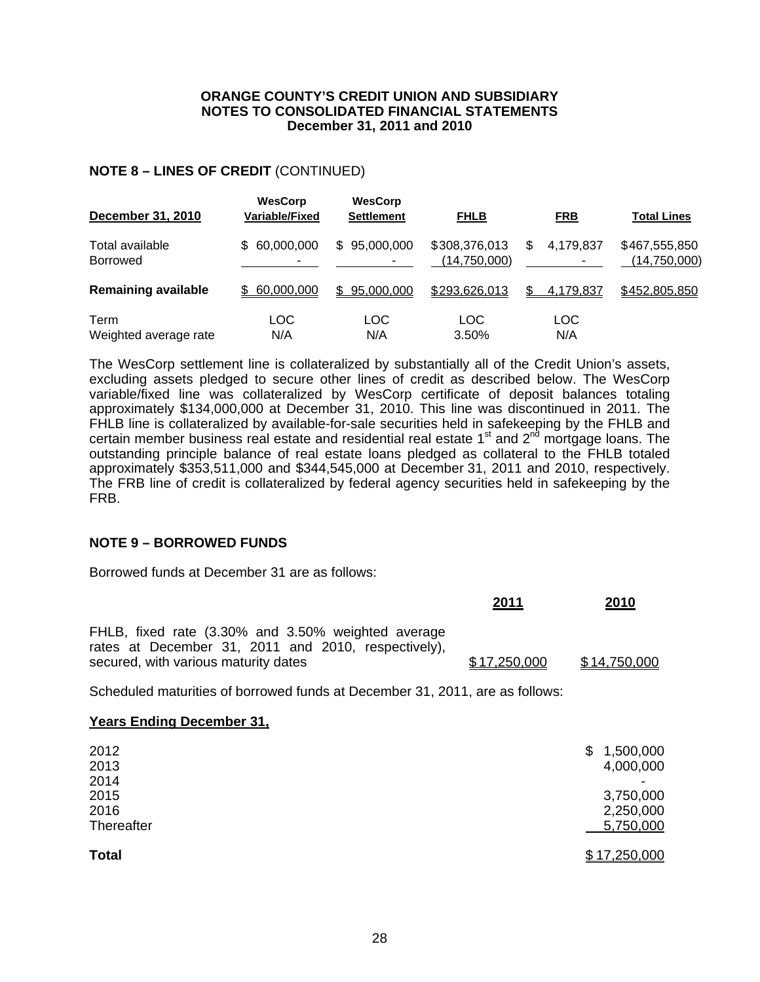# **NOTE 8 – LINES OF CREDIT** (CONTINUED)

| <b>December 31, 2010</b>           | <b>WesCorp</b><br>Variable/Fixed | <b>WesCorp</b><br><b>Settlement</b> | <b>FHLB</b>                   | <b>FRB</b>       | <b>Total Lines</b>            |
|------------------------------------|----------------------------------|-------------------------------------|-------------------------------|------------------|-------------------------------|
| Total available<br><b>Borrowed</b> | \$60,000,000                     | \$95,000,000                        | \$308,376,013<br>(14,750,000) | 4,179,837<br>\$. | \$467,555,850<br>(14,750,000) |
| <b>Remaining available</b>         | \$60,000,000                     | \$95,000,000                        | \$293,626,013                 | 4,179,837        | \$452,805,850                 |
| Term<br>Weighted average rate      | LOC<br>N/A                       | LOC<br>N/A                          | <b>LOC</b><br>3.50%           | LOC<br>N/A       |                               |

The WesCorp settlement line is collateralized by substantially all of the Credit Union's assets, excluding assets pledged to secure other lines of credit as described below. The WesCorp variable/fixed line was collateralized by WesCorp certificate of deposit balances totaling approximately \$134,000,000 at December 31, 2010. This line was discontinued in 2011. The FHLB line is collateralized by available-for-sale securities held in safekeeping by the FHLB and certain member business real estate and residential real estate  $1<sup>st</sup>$  and  $2<sup>nd</sup>$  mortgage loans. The outstanding principle balance of real estate loans pledged as collateral to the FHLB totaled approximately \$353,511,000 and \$344,545,000 at December 31, 2011 and 2010, respectively. The FRB line of credit is collateralized by federal agency securities held in safekeeping by the FRB.

# **NOTE 9 – BORROWED FUNDS**

Borrowed funds at December 31 are as follows:

|                                                                                                           | 2011         | <u>2010</u>  |
|-----------------------------------------------------------------------------------------------------------|--------------|--------------|
| FHLB, fixed rate (3.30% and 3.50% weighted average<br>rates at December 31, 2011 and 2010, respectively), |              |              |
| secured, with various maturity dates                                                                      | \$17.250.000 | \$14,750,000 |

Scheduled maturities of borrowed funds at December 31, 2011, are as follows:

# **Years Ending December 31,**

| 2012         | 1,500,000    |
|--------------|--------------|
| 2013         | \$           |
| 2014         | 4,000,000    |
| 2015         | 3,750,000    |
| 2016         | 2,250,000    |
| Thereafter   | 5,750,000    |
| <b>Total</b> | \$17,250,000 |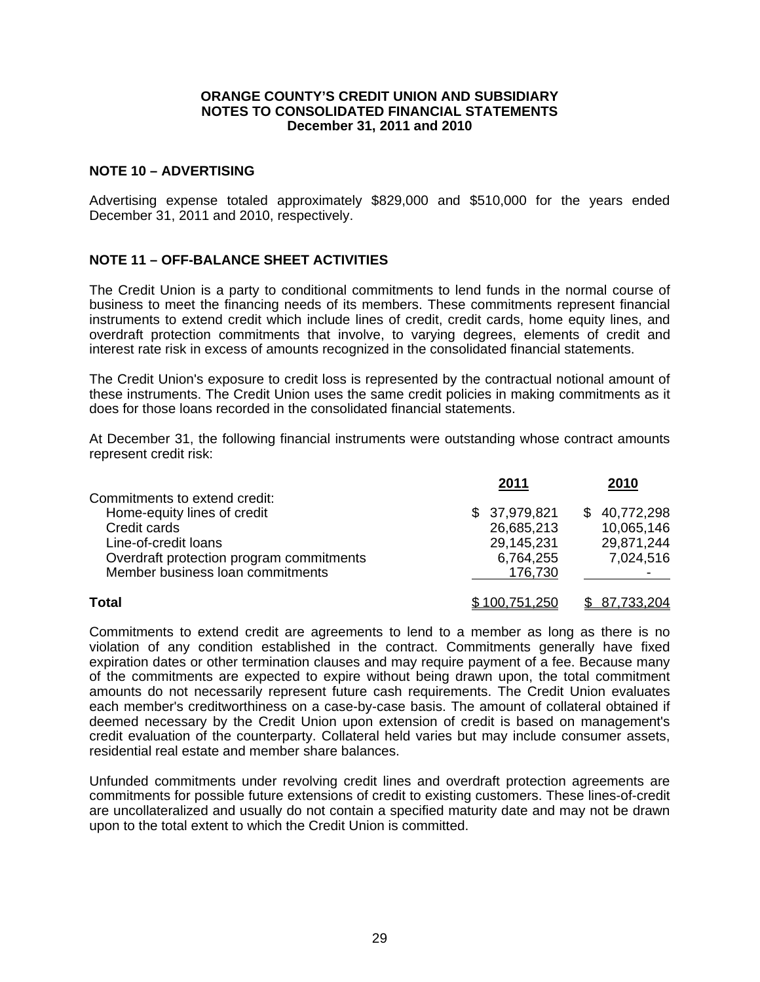# **NOTE 10 – ADVERTISING**

Advertising expense totaled approximately \$829,000 and \$510,000 for the years ended December 31, 2011 and 2010, respectively.

# **NOTE 11 – OFF-BALANCE SHEET ACTIVITIES**

The Credit Union is a party to conditional commitments to lend funds in the normal course of business to meet the financing needs of its members. These commitments represent financial instruments to extend credit which include lines of credit, credit cards, home equity lines, and overdraft protection commitments that involve, to varying degrees, elements of credit and interest rate risk in excess of amounts recognized in the consolidated financial statements.

The Credit Union's exposure to credit loss is represented by the contractual notional amount of these instruments. The Credit Union uses the same credit policies in making commitments as it does for those loans recorded in the consolidated financial statements.

At December 31, the following financial instruments were outstanding whose contract amounts represent credit risk:

|                                                                                                                                                                                      | 2011                                                             | 2010                                                  |
|--------------------------------------------------------------------------------------------------------------------------------------------------------------------------------------|------------------------------------------------------------------|-------------------------------------------------------|
| Commitments to extend credit:<br>Home-equity lines of credit<br>Credit cards<br>Line-of-credit loans<br>Overdraft protection program commitments<br>Member business loan commitments | \$37,979,821<br>26,685,213<br>29,145,231<br>6,764,255<br>176,730 | \$40,772,298<br>10,065,146<br>29,871,244<br>7,024,516 |
| <b>Total</b>                                                                                                                                                                         | \$100,751,250                                                    | \$87,733,204                                          |

Commitments to extend credit are agreements to lend to a member as long as there is no violation of any condition established in the contract. Commitments generally have fixed expiration dates or other termination clauses and may require payment of a fee. Because many of the commitments are expected to expire without being drawn upon, the total commitment amounts do not necessarily represent future cash requirements. The Credit Union evaluates each member's creditworthiness on a case-by-case basis. The amount of collateral obtained if deemed necessary by the Credit Union upon extension of credit is based on management's credit evaluation of the counterparty. Collateral held varies but may include consumer assets, residential real estate and member share balances.

Unfunded commitments under revolving credit lines and overdraft protection agreements are commitments for possible future extensions of credit to existing customers. These lines-of-credit are uncollateralized and usually do not contain a specified maturity date and may not be drawn upon to the total extent to which the Credit Union is committed.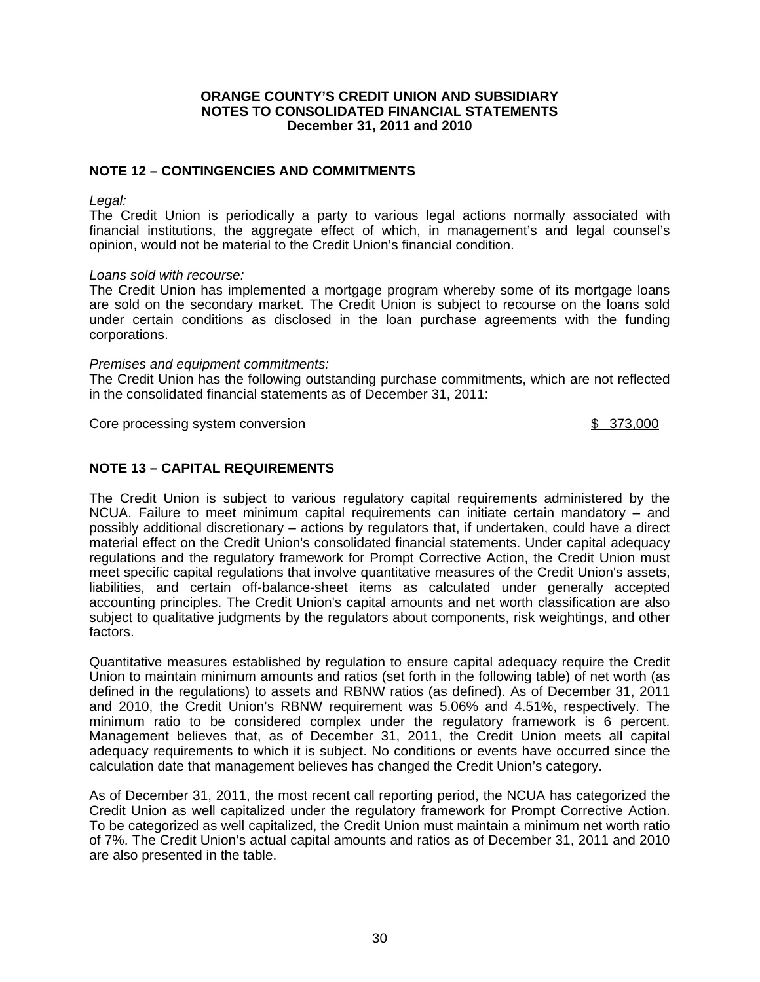# **NOTE 12 – CONTINGENCIES AND COMMITMENTS**

*Legal:* 

The Credit Union is periodically a party to various legal actions normally associated with financial institutions, the aggregate effect of which, in management's and legal counsel's opinion, would not be material to the Credit Union's financial condition.

## *Loans sold with recourse:*

The Credit Union has implemented a mortgage program whereby some of its mortgage loans are sold on the secondary market. The Credit Union is subject to recourse on the loans sold under certain conditions as disclosed in the loan purchase agreements with the funding corporations.

## *Premises and equipment commitments:*

The Credit Union has the following outstanding purchase commitments, which are not reflected in the consolidated financial statements as of December 31, 2011:

Core processing system conversion **by the system of the system of the system of the system of the system of the system of the system of the system of the system of the system of the system of the system of the system of th** 

# **NOTE 13 – CAPITAL REQUIREMENTS**

The Credit Union is subject to various regulatory capital requirements administered by the NCUA. Failure to meet minimum capital requirements can initiate certain mandatory – and possibly additional discretionary – actions by regulators that, if undertaken, could have a direct material effect on the Credit Union's consolidated financial statements. Under capital adequacy regulations and the regulatory framework for Prompt Corrective Action, the Credit Union must meet specific capital regulations that involve quantitative measures of the Credit Union's assets, liabilities, and certain off-balance-sheet items as calculated under generally accepted accounting principles. The Credit Union's capital amounts and net worth classification are also subject to qualitative judgments by the regulators about components, risk weightings, and other factors.

Quantitative measures established by regulation to ensure capital adequacy require the Credit Union to maintain minimum amounts and ratios (set forth in the following table) of net worth (as defined in the regulations) to assets and RBNW ratios (as defined). As of December 31, 2011 and 2010, the Credit Union's RBNW requirement was 5.06% and 4.51%, respectively. The minimum ratio to be considered complex under the regulatory framework is 6 percent. Management believes that, as of December 31, 2011, the Credit Union meets all capital adequacy requirements to which it is subject. No conditions or events have occurred since the calculation date that management believes has changed the Credit Union's category.

As of December 31, 2011, the most recent call reporting period, the NCUA has categorized the Credit Union as well capitalized under the regulatory framework for Prompt Corrective Action. To be categorized as well capitalized, the Credit Union must maintain a minimum net worth ratio of 7%. The Credit Union's actual capital amounts and ratios as of December 31, 2011 and 2010 are also presented in the table.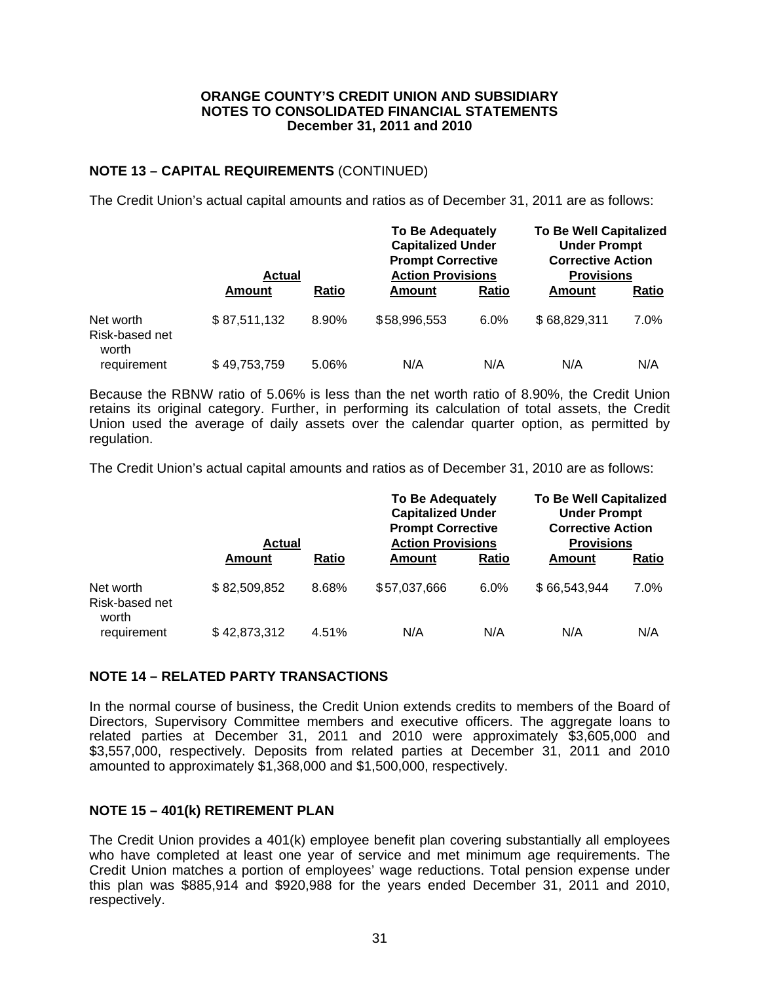# **NOTE 13 – CAPITAL REQUIREMENTS** (CONTINUED)

The Credit Union's actual capital amounts and ratios as of December 31, 2011 are as follows:

|                                      | <b>Actual</b> |              | <b>To Be Adequately</b><br><b>Capitalized Under</b><br><b>Prompt Corrective</b><br><b>Action Provisions</b> |       | <b>To Be Well Capitalized</b><br><b>Under Prompt</b><br><b>Corrective Action</b><br><b>Provisions</b> |              |  |
|--------------------------------------|---------------|--------------|-------------------------------------------------------------------------------------------------------------|-------|-------------------------------------------------------------------------------------------------------|--------------|--|
|                                      | Amount        | <b>Ratio</b> | Amount                                                                                                      | Ratio | Amount                                                                                                | <b>Ratio</b> |  |
| Net worth<br>Risk-based net<br>worth | \$87,511,132  | 8.90%        | \$58,996,553                                                                                                | 6.0%  | \$68,829,311                                                                                          | 7.0%         |  |
| reauirement                          | \$49,753,759  | 5.06%        | N/A                                                                                                         | N/A   | N/A                                                                                                   | N/A          |  |

Because the RBNW ratio of 5.06% is less than the net worth ratio of 8.90%, the Credit Union retains its original category. Further, in performing its calculation of total assets, the Credit Union used the average of daily assets over the calendar quarter option, as permitted by regulation.

The Credit Union's actual capital amounts and ratios as of December 31, 2010 are as follows:

|                                      | <b>Actual</b> |              | <b>To Be Adequately</b><br><b>Capitalized Under</b><br><b>Prompt Corrective</b><br><b>Action Provisions</b> |       | <b>To Be Well Capitalized</b><br><b>Under Prompt</b><br><b>Corrective Action</b><br><b>Provisions</b> |       |  |
|--------------------------------------|---------------|--------------|-------------------------------------------------------------------------------------------------------------|-------|-------------------------------------------------------------------------------------------------------|-------|--|
|                                      | Amount        | <b>Ratio</b> | Amount                                                                                                      | Ratio | Amount                                                                                                | Ratio |  |
| Net worth<br>Risk-based net<br>worth | \$82,509,852  | 8.68%        | \$57,037,666                                                                                                | 6.0%  | \$66,543,944                                                                                          | 7.0%  |  |
| requirement                          | \$42,873,312  | 4.51%        | N/A                                                                                                         | N/A   | N/A                                                                                                   | N/A   |  |

## **NOTE 14 – RELATED PARTY TRANSACTIONS**

In the normal course of business, the Credit Union extends credits to members of the Board of Directors, Supervisory Committee members and executive officers. The aggregate loans to related parties at December 31, 2011 and 2010 were approximately \$3,605,000 and \$3,557,000, respectively. Deposits from related parties at December 31, 2011 and 2010 amounted to approximately \$1,368,000 and \$1,500,000, respectively.

## **NOTE 15 – 401(k) RETIREMENT PLAN**

The Credit Union provides a 401(k) employee benefit plan covering substantially all employees who have completed at least one year of service and met minimum age requirements. The Credit Union matches a portion of employees' wage reductions. Total pension expense under this plan was \$885,914 and \$920,988 for the years ended December 31, 2011 and 2010, respectively.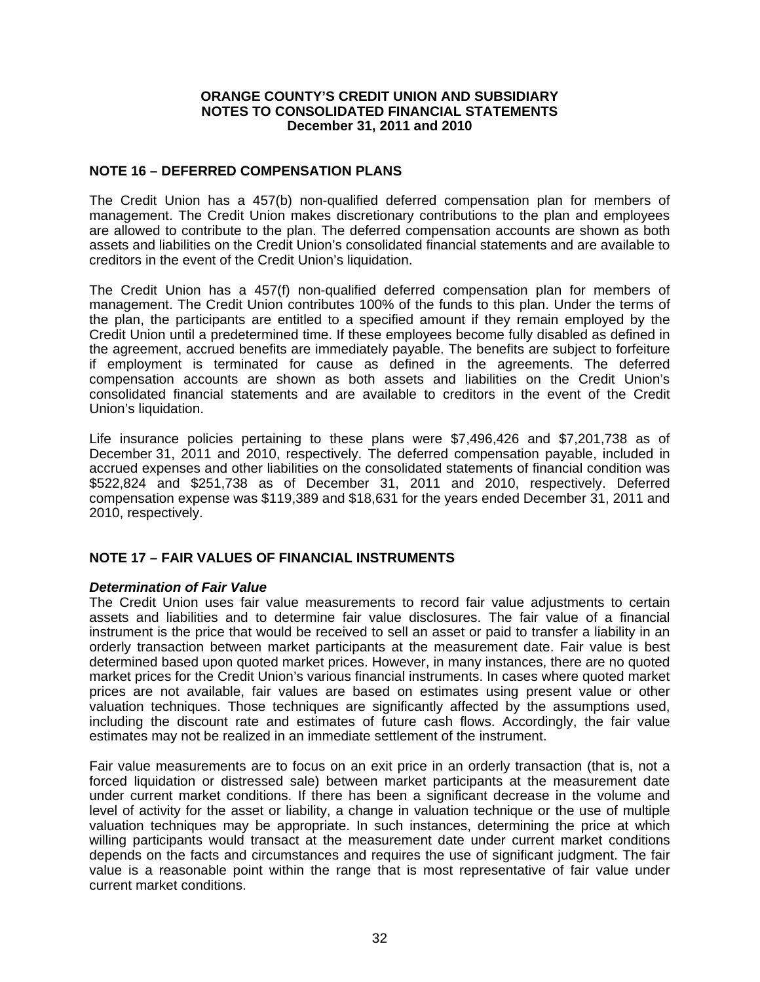# **NOTE 16 – DEFERRED COMPENSATION PLANS**

The Credit Union has a 457(b) non-qualified deferred compensation plan for members of management. The Credit Union makes discretionary contributions to the plan and employees are allowed to contribute to the plan. The deferred compensation accounts are shown as both assets and liabilities on the Credit Union's consolidated financial statements and are available to creditors in the event of the Credit Union's liquidation.

The Credit Union has a 457(f) non-qualified deferred compensation plan for members of management. The Credit Union contributes 100% of the funds to this plan. Under the terms of the plan, the participants are entitled to a specified amount if they remain employed by the Credit Union until a predetermined time. If these employees become fully disabled as defined in the agreement, accrued benefits are immediately payable. The benefits are subject to forfeiture if employment is terminated for cause as defined in the agreements. The deferred compensation accounts are shown as both assets and liabilities on the Credit Union's consolidated financial statements and are available to creditors in the event of the Credit Union's liquidation.

Life insurance policies pertaining to these plans were \$7,496,426 and \$7,201,738 as of December 31, 2011 and 2010, respectively. The deferred compensation payable, included in accrued expenses and other liabilities on the consolidated statements of financial condition was \$522,824 and \$251,738 as of December 31, 2011 and 2010, respectively. Deferred compensation expense was \$119,389 and \$18,631 for the years ended December 31, 2011 and 2010, respectively.

# **NOTE 17 – FAIR VALUES OF FINANCIAL INSTRUMENTS**

## *Determination of Fair Value*

The Credit Union uses fair value measurements to record fair value adjustments to certain assets and liabilities and to determine fair value disclosures. The fair value of a financial instrument is the price that would be received to sell an asset or paid to transfer a liability in an orderly transaction between market participants at the measurement date. Fair value is best determined based upon quoted market prices. However, in many instances, there are no quoted market prices for the Credit Union's various financial instruments. In cases where quoted market prices are not available, fair values are based on estimates using present value or other valuation techniques. Those techniques are significantly affected by the assumptions used, including the discount rate and estimates of future cash flows. Accordingly, the fair value estimates may not be realized in an immediate settlement of the instrument.

Fair value measurements are to focus on an exit price in an orderly transaction (that is, not a forced liquidation or distressed sale) between market participants at the measurement date under current market conditions. If there has been a significant decrease in the volume and level of activity for the asset or liability, a change in valuation technique or the use of multiple valuation techniques may be appropriate. In such instances, determining the price at which willing participants would transact at the measurement date under current market conditions depends on the facts and circumstances and requires the use of significant judgment. The fair value is a reasonable point within the range that is most representative of fair value under current market conditions.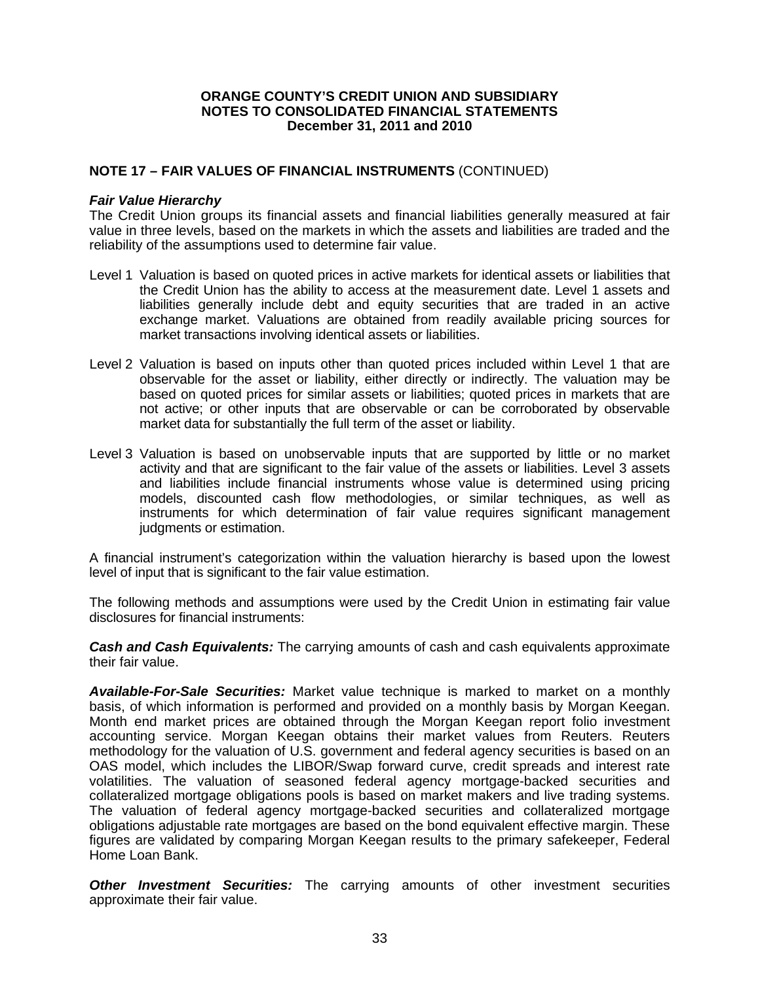## **NOTE 17 – FAIR VALUES OF FINANCIAL INSTRUMENTS** (CONTINUED)

## *Fair Value Hierarchy*

The Credit Union groups its financial assets and financial liabilities generally measured at fair value in three levels, based on the markets in which the assets and liabilities are traded and the reliability of the assumptions used to determine fair value.

- Level 1 Valuation is based on quoted prices in active markets for identical assets or liabilities that the Credit Union has the ability to access at the measurement date. Level 1 assets and liabilities generally include debt and equity securities that are traded in an active exchange market. Valuations are obtained from readily available pricing sources for market transactions involving identical assets or liabilities.
- Level 2 Valuation is based on inputs other than quoted prices included within Level 1 that are observable for the asset or liability, either directly or indirectly. The valuation may be based on quoted prices for similar assets or liabilities; quoted prices in markets that are not active; or other inputs that are observable or can be corroborated by observable market data for substantially the full term of the asset or liability.
- Level 3 Valuation is based on unobservable inputs that are supported by little or no market activity and that are significant to the fair value of the assets or liabilities. Level 3 assets and liabilities include financial instruments whose value is determined using pricing models, discounted cash flow methodologies, or similar techniques, as well as instruments for which determination of fair value requires significant management judgments or estimation.

A financial instrument's categorization within the valuation hierarchy is based upon the lowest level of input that is significant to the fair value estimation.

The following methods and assumptions were used by the Credit Union in estimating fair value disclosures for financial instruments:

*Cash and Cash Equivalents:* The carrying amounts of cash and cash equivalents approximate their fair value.

*Available-For-Sale Securities:* Market value technique is marked to market on a monthly basis, of which information is performed and provided on a monthly basis by Morgan Keegan. Month end market prices are obtained through the Morgan Keegan report folio investment accounting service. Morgan Keegan obtains their market values from Reuters. Reuters methodology for the valuation of U.S. government and federal agency securities is based on an OAS model, which includes the LIBOR/Swap forward curve, credit spreads and interest rate volatilities. The valuation of seasoned federal agency mortgage-backed securities and collateralized mortgage obligations pools is based on market makers and live trading systems. The valuation of federal agency mortgage-backed securities and collateralized mortgage obligations adjustable rate mortgages are based on the bond equivalent effective margin. These figures are validated by comparing Morgan Keegan results to the primary safekeeper, Federal Home Loan Bank.

**Other Investment Securities:** The carrying amounts of other investment securities approximate their fair value.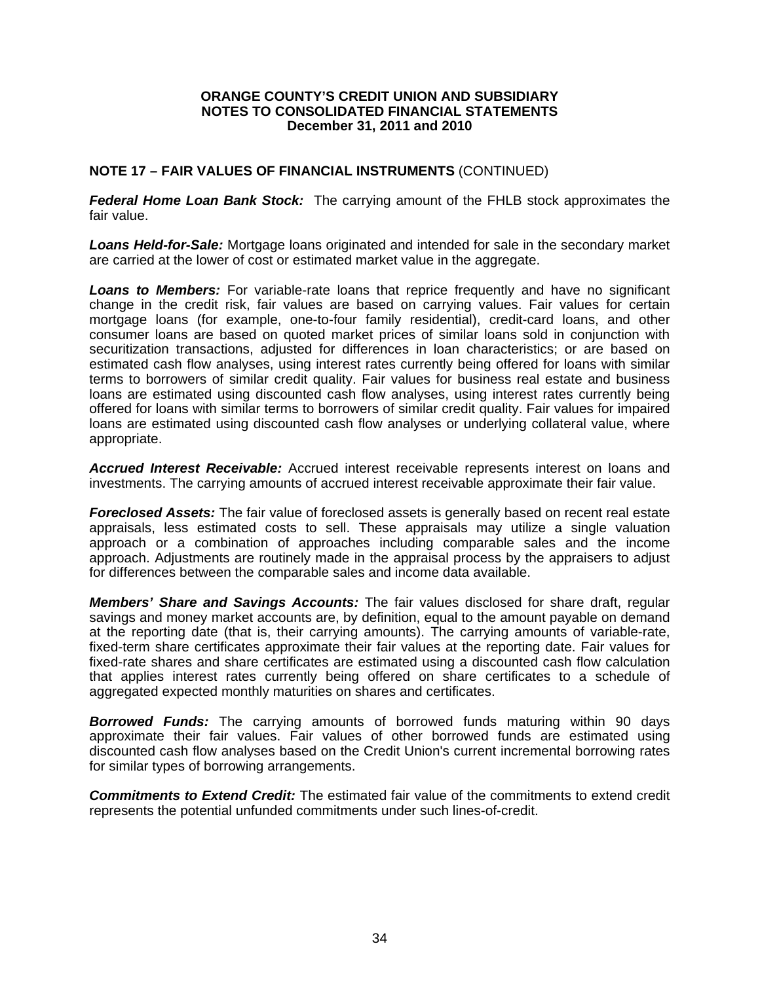# **NOTE 17 – FAIR VALUES OF FINANCIAL INSTRUMENTS** (CONTINUED)

*Federal Home Loan Bank Stock:* The carrying amount of the FHLB stock approximates the fair value.

*Loans Held-for-Sale:* Mortgage loans originated and intended for sale in the secondary market are carried at the lower of cost or estimated market value in the aggregate.

**Loans to Members:** For variable-rate loans that reprice frequently and have no significant change in the credit risk, fair values are based on carrying values. Fair values for certain mortgage loans (for example, one-to-four family residential), credit-card loans, and other consumer loans are based on quoted market prices of similar loans sold in conjunction with securitization transactions, adjusted for differences in loan characteristics; or are based on estimated cash flow analyses, using interest rates currently being offered for loans with similar terms to borrowers of similar credit quality. Fair values for business real estate and business loans are estimated using discounted cash flow analyses, using interest rates currently being offered for loans with similar terms to borrowers of similar credit quality. Fair values for impaired loans are estimated using discounted cash flow analyses or underlying collateral value, where appropriate.

*Accrued Interest Receivable:* Accrued interest receivable represents interest on loans and investments. The carrying amounts of accrued interest receivable approximate their fair value.

*Foreclosed Assets:* The fair value of foreclosed assets is generally based on recent real estate appraisals, less estimated costs to sell. These appraisals may utilize a single valuation approach or a combination of approaches including comparable sales and the income approach. Adjustments are routinely made in the appraisal process by the appraisers to adjust for differences between the comparable sales and income data available.

*Members' Share and Savings Accounts:* The fair values disclosed for share draft, regular savings and money market accounts are, by definition, equal to the amount payable on demand at the reporting date (that is, their carrying amounts). The carrying amounts of variable-rate, fixed-term share certificates approximate their fair values at the reporting date. Fair values for fixed-rate shares and share certificates are estimated using a discounted cash flow calculation that applies interest rates currently being offered on share certificates to a schedule of aggregated expected monthly maturities on shares and certificates.

*Borrowed Funds:* The carrying amounts of borrowed funds maturing within 90 days approximate their fair values. Fair values of other borrowed funds are estimated using discounted cash flow analyses based on the Credit Union's current incremental borrowing rates for similar types of borrowing arrangements.

*Commitments to Extend Credit:* The estimated fair value of the commitments to extend credit represents the potential unfunded commitments under such lines-of-credit.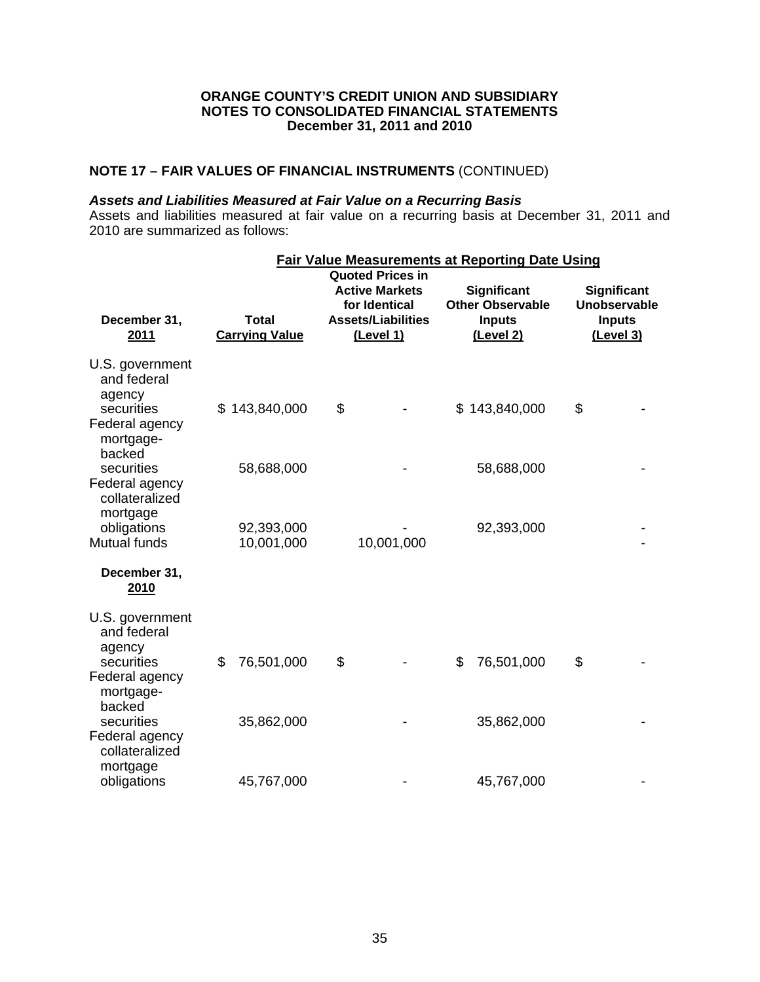# **NOTE 17 – FAIR VALUES OF FINANCIAL INSTRUMENTS** (CONTINUED)

# *Assets and Liabilities Measured at Fair Value on a Recurring Basis*

Assets and liabilities measured at fair value on a recurring basis at December 31, 2011 and 2010 are summarized as follows:

|                                                                                                 | <b>Fair Value Measurements at Reporting Date Using</b> |                                                                                                             |            |                                                                      |                          |    |                                                                  |
|-------------------------------------------------------------------------------------------------|--------------------------------------------------------|-------------------------------------------------------------------------------------------------------------|------------|----------------------------------------------------------------------|--------------------------|----|------------------------------------------------------------------|
| December 31,<br>2011                                                                            | <b>Total</b><br><b>Carrying Value</b>                  | <b>Quoted Prices in</b><br><b>Active Markets</b><br>for Identical<br><b>Assets/Liabilities</b><br>(Level 1) |            | Significant<br><b>Other Observable</b><br><b>Inputs</b><br>(Level 2) |                          |    | Significant<br><b>Unobservable</b><br><b>Inputs</b><br>(Level 3) |
| U.S. government<br>and federal<br>agency<br>securities<br>Federal agency<br>mortgage-<br>backed | \$143,840,000                                          | \$                                                                                                          |            |                                                                      | \$143,840,000            | \$ |                                                                  |
| securities<br>Federal agency<br>collateralized<br>mortgage<br>obligations                       | 58,688,000<br>92,393,000                               |                                                                                                             |            |                                                                      | 58,688,000<br>92,393,000 |    |                                                                  |
| Mutual funds<br>December 31,<br>2010                                                            | 10,001,000                                             |                                                                                                             | 10,001,000 |                                                                      |                          |    |                                                                  |
| U.S. government<br>and federal<br>agency<br>securities<br>Federal agency<br>mortgage-<br>backed | \$<br>76,501,000                                       | \$                                                                                                          |            | \$                                                                   | 76,501,000               | \$ |                                                                  |
| securities<br>Federal agency<br>collateralized<br>mortgage<br>obligations                       | 35,862,000<br>45,767,000                               |                                                                                                             |            |                                                                      | 35,862,000<br>45,767,000 |    |                                                                  |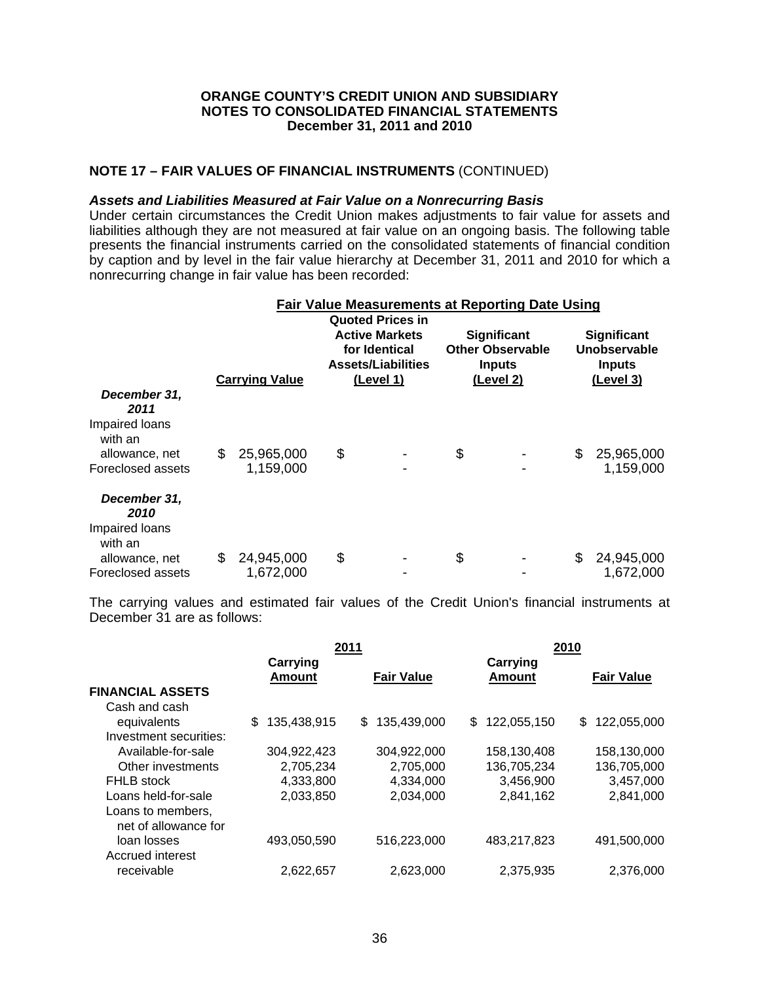# **NOTE 17 – FAIR VALUES OF FINANCIAL INSTRUMENTS** (CONTINUED)

#### *Assets and Liabilities Measured at Fair Value on a Nonrecurring Basis*

Under certain circumstances the Credit Union makes adjustments to fair value for assets and liabilities although they are not measured at fair value on an ongoing basis. The following table presents the financial instruments carried on the consolidated statements of financial condition by caption and by level in the fair value hierarchy at December 31, 2011 and 2010 for which a nonrecurring change in fair value has been recorded:

|                                                   | <b>Fair Value Measurements at Reporting Date Using</b><br><b>Quoted Prices in</b> |                         |                                                                                  |  |    |                                                                             |                                                           |                         |
|---------------------------------------------------|-----------------------------------------------------------------------------------|-------------------------|----------------------------------------------------------------------------------|--|----|-----------------------------------------------------------------------------|-----------------------------------------------------------|-------------------------|
|                                                   |                                                                                   | <b>Carrying Value</b>   | <b>Active Markets</b><br>for Identical<br><b>Assets/Liabilities</b><br>(Level 1) |  |    | <b>Significant</b><br><b>Other Observable</b><br><b>Inputs</b><br>(Level 2) | Significant<br>Unobservable<br><b>Inputs</b><br>(Level 3) |                         |
| December 31,<br>2011<br>Impaired loans<br>with an |                                                                                   |                         |                                                                                  |  |    |                                                                             |                                                           |                         |
| allowance, net<br>Foreclosed assets               | \$                                                                                | 25,965,000<br>1,159,000 | \$                                                                               |  | \$ |                                                                             | \$                                                        | 25,965,000<br>1,159,000 |
| December 31,<br>2010<br>Impaired loans<br>with an |                                                                                   |                         |                                                                                  |  |    |                                                                             |                                                           |                         |
| allowance, net<br>Foreclosed assets               | \$                                                                                | 24,945,000<br>1,672,000 | \$                                                                               |  | \$ |                                                                             | \$                                                        | 24,945,000<br>1,672,000 |

The carrying values and estimated fair values of the Credit Union's financial instruments at December 31 are as follows:

|                           |                   | 2010                      |                   |
|---------------------------|-------------------|---------------------------|-------------------|
| Carrying<br><b>Amount</b> | <b>Fair Value</b> | Carrying<br><b>Amount</b> | <b>Fair Value</b> |
|                           |                   |                           |                   |
|                           |                   |                           |                   |
| 135,438,915<br>\$         | 135,439,000<br>\$ | 122,055,150<br>\$         | 122,055,000<br>\$ |
|                           |                   |                           |                   |
| 304,922,423               | 304.922.000       | 158,130,408               | 158,130,000       |
| 2,705,234                 | 2,705,000         | 136,705,234               | 136,705,000       |
| 4,333,800                 | 4,334,000         | 3,456,900                 | 3,457,000         |
| 2,033,850                 | 2,034,000         | 2,841,162                 | 2,841,000         |
|                           |                   |                           |                   |
| 493,050,590               | 516,223,000       | 483,217,823               | 491,500,000       |
|                           |                   |                           |                   |
| 2,622,657                 | 2,623,000         | 2,375,935                 | 2,376,000         |
|                           |                   | 2011                      |                   |